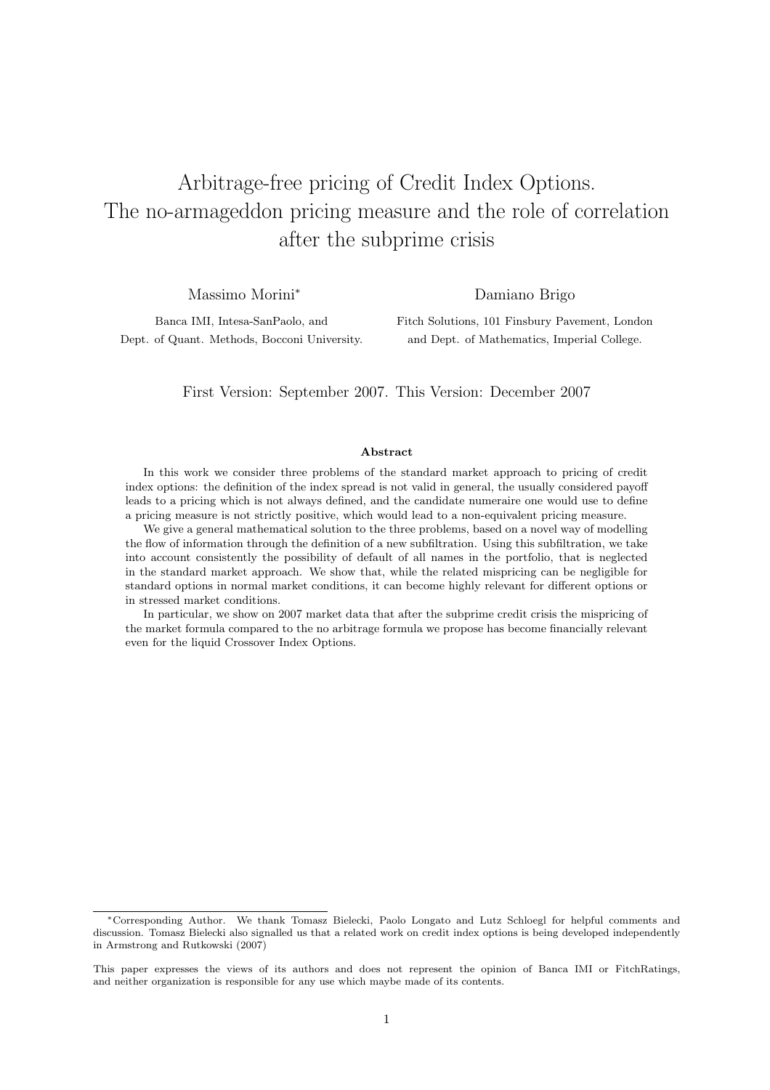# Arbitrage-free pricing of Credit Index Options. The no-armageddon pricing measure and the role of correlation after the subprime crisis

Massimo Morini<sup>∗</sup>

Damiano Brigo

Banca IMI, Intesa-SanPaolo, and Dept. of Quant. Methods, Bocconi University. Fitch Solutions, 101 Finsbury Pavement, London and Dept. of Mathematics, Imperial College.

First Version: September 2007. This Version: December 2007

#### Abstract

In this work we consider three problems of the standard market approach to pricing of credit index options: the definition of the index spread is not valid in general, the usually considered payoff leads to a pricing which is not always defined, and the candidate numeraire one would use to define a pricing measure is not strictly positive, which would lead to a non-equivalent pricing measure.

We give a general mathematical solution to the three problems, based on a novel way of modelling the flow of information through the definition of a new subfiltration. Using this subfiltration, we take into account consistently the possibility of default of all names in the portfolio, that is neglected in the standard market approach. We show that, while the related mispricing can be negligible for standard options in normal market conditions, it can become highly relevant for different options or in stressed market conditions.

In particular, we show on 2007 market data that after the subprime credit crisis the mispricing of the market formula compared to the no arbitrage formula we propose has become financially relevant even for the liquid Crossover Index Options.

<sup>∗</sup>Corresponding Author. We thank Tomasz Bielecki, Paolo Longato and Lutz Schloegl for helpful comments and discussion. Tomasz Bielecki also signalled us that a related work on credit index options is being developed independently in Armstrong and Rutkowski (2007)

This paper expresses the views of its authors and does not represent the opinion of Banca IMI or FitchRatings, and neither organization is responsible for any use which maybe made of its contents.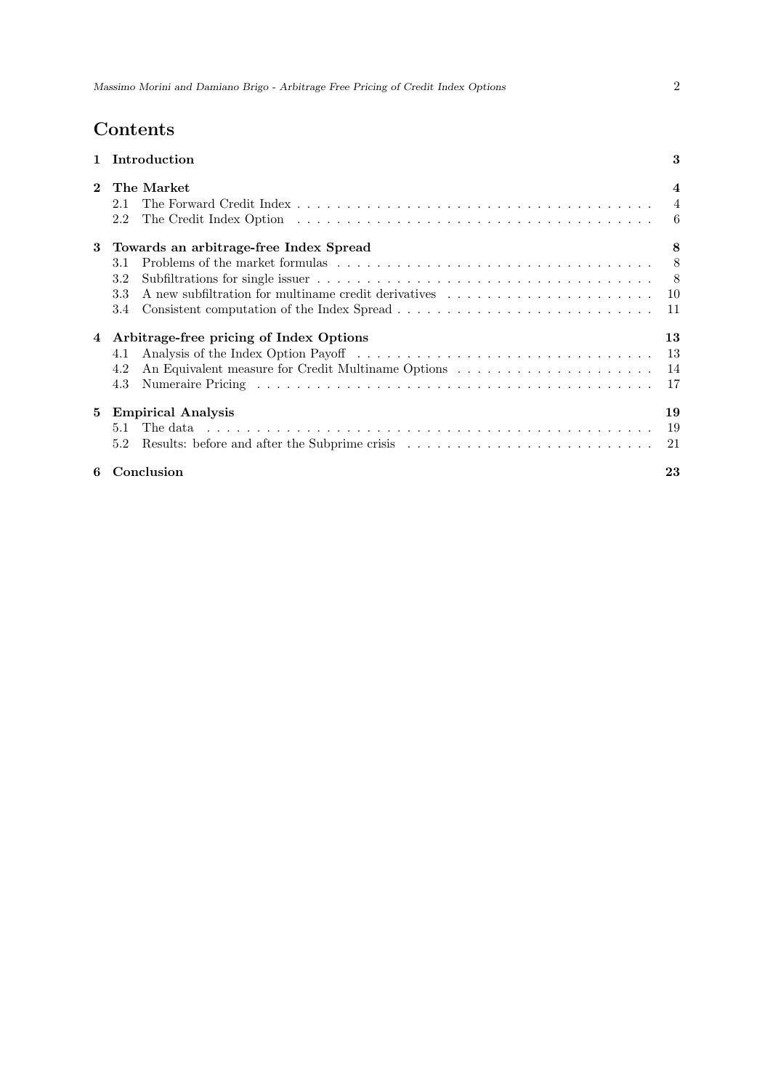## Contents

|              | 1 Introduction                                                                                                                                                                                                                                                            | 3              |
|--------------|---------------------------------------------------------------------------------------------------------------------------------------------------------------------------------------------------------------------------------------------------------------------------|----------------|
| $\mathbf{2}$ | The Market<br>2.1<br>2.2                                                                                                                                                                                                                                                  | $\overline{4}$ |
| 3            | Towards an arbitrage-free Index Spread<br>Problems of the market formulas $\ldots \ldots \ldots \ldots \ldots \ldots \ldots \ldots \ldots \ldots \ldots$<br>3.1<br>3.2<br>3.3<br>3.4                                                                                      | 8              |
| 4            | Arbitrage-free pricing of Index Options<br>4.1<br>4.2<br>4.3                                                                                                                                                                                                              | 13             |
| 5.           | <b>Empirical Analysis</b><br>The data response to the set of the set of the set of the set of the set of the set of the set of the set of the set of the set of the set of the set of the set of the set of the set of the set of the set of the set of the<br>5.1<br>5.2 | 19             |
| 6            | Conclusion                                                                                                                                                                                                                                                                | 23             |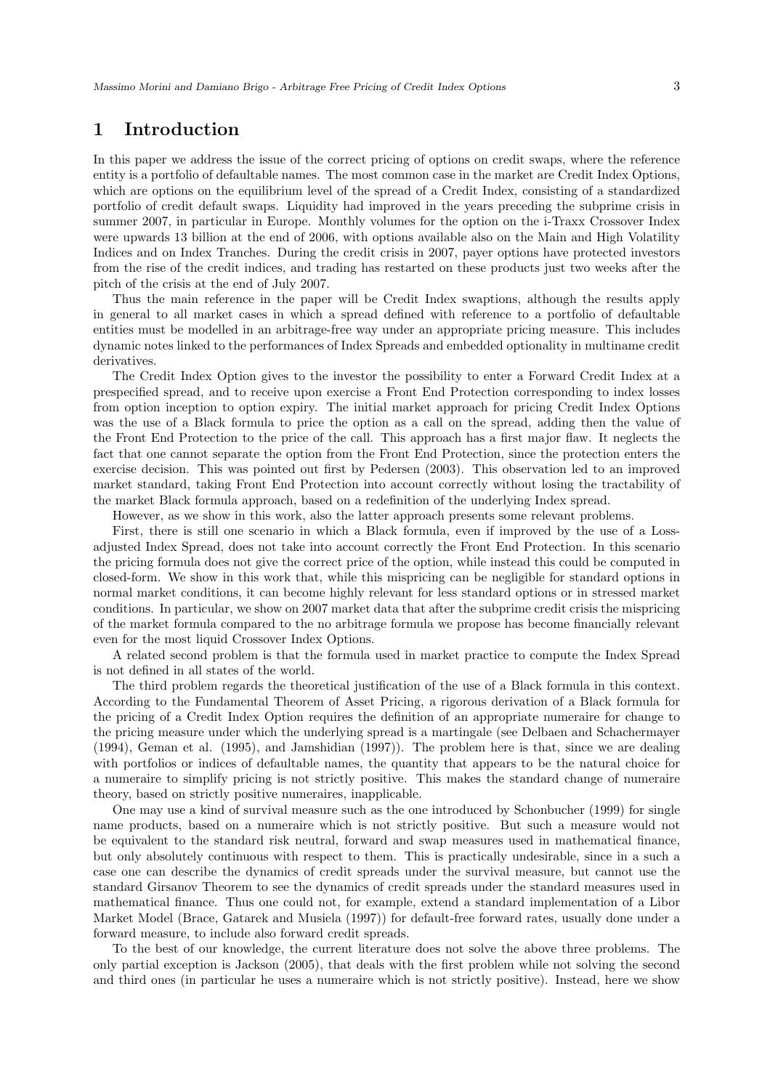## 1 Introduction

In this paper we address the issue of the correct pricing of options on credit swaps, where the reference entity is a portfolio of defaultable names. The most common case in the market are Credit Index Options, which are options on the equilibrium level of the spread of a Credit Index, consisting of a standardized portfolio of credit default swaps. Liquidity had improved in the years preceding the subprime crisis in summer 2007, in particular in Europe. Monthly volumes for the option on the i-Traxx Crossover Index were upwards 13 billion at the end of 2006, with options available also on the Main and High Volatility Indices and on Index Tranches. During the credit crisis in 2007, payer options have protected investors from the rise of the credit indices, and trading has restarted on these products just two weeks after the pitch of the crisis at the end of July 2007.

Thus the main reference in the paper will be Credit Index swaptions, although the results apply in general to all market cases in which a spread defined with reference to a portfolio of defaultable entities must be modelled in an arbitrage-free way under an appropriate pricing measure. This includes dynamic notes linked to the performances of Index Spreads and embedded optionality in multiname credit derivatives.

The Credit Index Option gives to the investor the possibility to enter a Forward Credit Index at a prespecified spread, and to receive upon exercise a Front End Protection corresponding to index losses from option inception to option expiry. The initial market approach for pricing Credit Index Options was the use of a Black formula to price the option as a call on the spread, adding then the value of the Front End Protection to the price of the call. This approach has a first major flaw. It neglects the fact that one cannot separate the option from the Front End Protection, since the protection enters the exercise decision. This was pointed out first by Pedersen (2003). This observation led to an improved market standard, taking Front End Protection into account correctly without losing the tractability of the market Black formula approach, based on a redefinition of the underlying Index spread.

However, as we show in this work, also the latter approach presents some relevant problems.

First, there is still one scenario in which a Black formula, even if improved by the use of a Lossadjusted Index Spread, does not take into account correctly the Front End Protection. In this scenario the pricing formula does not give the correct price of the option, while instead this could be computed in closed-form. We show in this work that, while this mispricing can be negligible for standard options in normal market conditions, it can become highly relevant for less standard options or in stressed market conditions. In particular, we show on 2007 market data that after the subprime credit crisis the mispricing of the market formula compared to the no arbitrage formula we propose has become financially relevant even for the most liquid Crossover Index Options.

A related second problem is that the formula used in market practice to compute the Index Spread is not defined in all states of the world.

The third problem regards the theoretical justification of the use of a Black formula in this context. According to the Fundamental Theorem of Asset Pricing, a rigorous derivation of a Black formula for the pricing of a Credit Index Option requires the definition of an appropriate numeraire for change to the pricing measure under which the underlying spread is a martingale (see Delbaen and Schachermayer (1994), Geman et al. (1995), and Jamshidian (1997)). The problem here is that, since we are dealing with portfolios or indices of defaultable names, the quantity that appears to be the natural choice for a numeraire to simplify pricing is not strictly positive. This makes the standard change of numeraire theory, based on strictly positive numeraires, inapplicable.

One may use a kind of survival measure such as the one introduced by Schonbucher (1999) for single name products, based on a numeraire which is not strictly positive. But such a measure would not be equivalent to the standard risk neutral, forward and swap measures used in mathematical finance, but only absolutely continuous with respect to them. This is practically undesirable, since in a such a case one can describe the dynamics of credit spreads under the survival measure, but cannot use the standard Girsanov Theorem to see the dynamics of credit spreads under the standard measures used in mathematical finance. Thus one could not, for example, extend a standard implementation of a Libor Market Model (Brace, Gatarek and Musiela (1997)) for default-free forward rates, usually done under a forward measure, to include also forward credit spreads.

To the best of our knowledge, the current literature does not solve the above three problems. The only partial exception is Jackson (2005), that deals with the first problem while not solving the second and third ones (in particular he uses a numeraire which is not strictly positive). Instead, here we show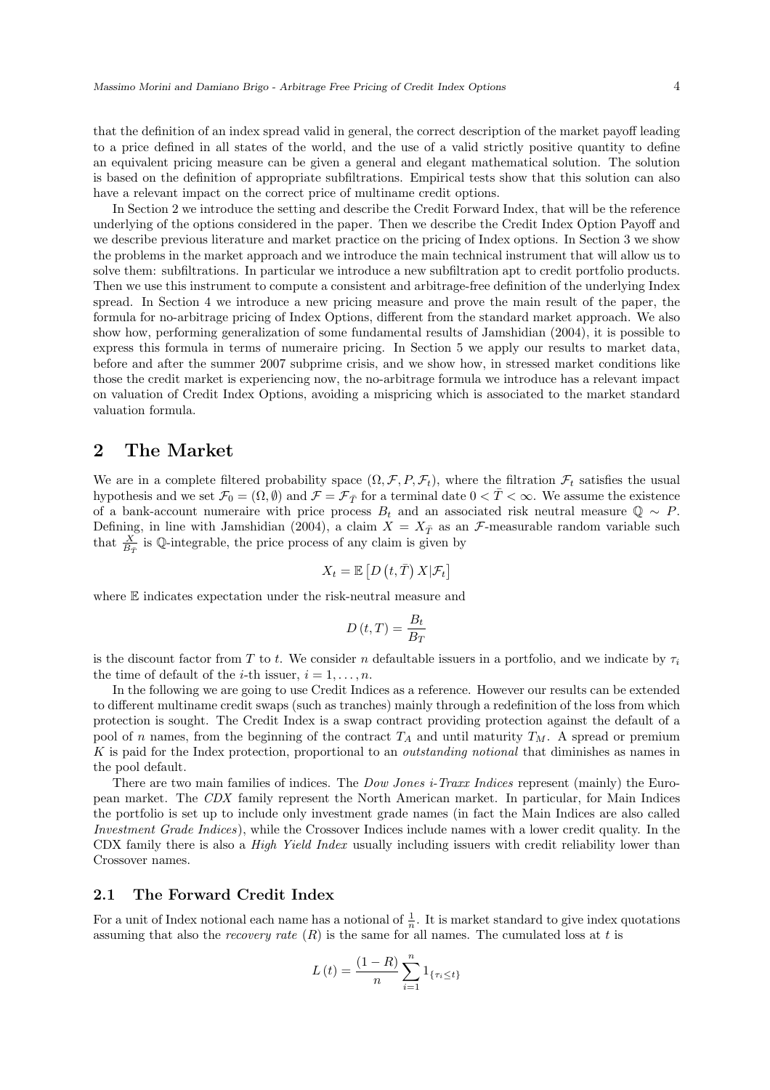that the definition of an index spread valid in general, the correct description of the market payoff leading to a price defined in all states of the world, and the use of a valid strictly positive quantity to define an equivalent pricing measure can be given a general and elegant mathematical solution. The solution is based on the definition of appropriate subfiltrations. Empirical tests show that this solution can also have a relevant impact on the correct price of multiname credit options.

In Section 2 we introduce the setting and describe the Credit Forward Index, that will be the reference underlying of the options considered in the paper. Then we describe the Credit Index Option Payoff and we describe previous literature and market practice on the pricing of Index options. In Section 3 we show the problems in the market approach and we introduce the main technical instrument that will allow us to solve them: subfiltrations. In particular we introduce a new subfiltration apt to credit portfolio products. Then we use this instrument to compute a consistent and arbitrage-free definition of the underlying Index spread. In Section 4 we introduce a new pricing measure and prove the main result of the paper, the formula for no-arbitrage pricing of Index Options, different from the standard market approach. We also show how, performing generalization of some fundamental results of Jamshidian (2004), it is possible to express this formula in terms of numeraire pricing. In Section 5 we apply our results to market data, before and after the summer 2007 subprime crisis, and we show how, in stressed market conditions like those the credit market is experiencing now, the no-arbitrage formula we introduce has a relevant impact on valuation of Credit Index Options, avoiding a mispricing which is associated to the market standard valuation formula.

## 2 The Market

We are in a complete filtered probability space  $(\Omega, \mathcal{F}, P, \mathcal{F}_t)$ , where the filtration  $\mathcal{F}_t$  satisfies the usual hypothesis and we set  $\mathcal{F}_0 = (\Omega, \emptyset)$  and  $\mathcal{F} = \mathcal{F}_{\overline{T}}$  for a terminal date  $0 < \overline{T} < \infty$ . We assume the existence of a bank-account numeraire with price process  $B_t$  and an associated risk neutral measure  $\mathbb{Q} \sim P$ . Defining, in line with Jamshidian (2004), a claim  $X = X_{\overline{T}}$  as an *F*-measurable random variable such that  $\frac{X}{B_T}$  is Q-integrable, the price process of any claim is given by

$$
X_t = \mathbb{E}\left[D\left(t, \bar{T}\right)X|\mathcal{F}_t\right]
$$

where E indicates expectation under the risk-neutral measure and

$$
D\left(t,T\right) = \frac{B_t}{B_T}
$$

is the discount factor from T to t. We consider n defaultable issuers in a portfolio, and we indicate by  $\tau_i$ the time of default of the *i*-th issuer,  $i = 1, \ldots, n$ .

In the following we are going to use Credit Indices as a reference. However our results can be extended to different multiname credit swaps (such as tranches) mainly through a redefinition of the loss from which protection is sought. The Credit Index is a swap contract providing protection against the default of a pool of n names, from the beginning of the contract  $T_A$  and until maturity  $T_M$ . A spread or premium K is paid for the Index protection, proportional to an *outstanding notional* that diminishes as names in the pool default.

There are two main families of indices. The *Dow Jones i-Traxx Indices* represent (mainly) the European market. The CDX family represent the North American market. In particular, for Main Indices the portfolio is set up to include only investment grade names (in fact the Main Indices are also called Investment Grade Indices), while the Crossover Indices include names with a lower credit quality. In the CDX family there is also a High Yield Index usually including issuers with credit reliability lower than Crossover names.

#### 2.1 The Forward Credit Index

For a unit of Index notional each name has a notional of  $\frac{1}{n}$ . It is market standard to give index quotations assuming that also the recovery rate  $(R)$  is the same for all names. The cumulated loss at t is

$$
L(t) = \frac{(1-R)}{n} \sum_{i=1}^{n} 1_{\{\tau_i \le t\}}
$$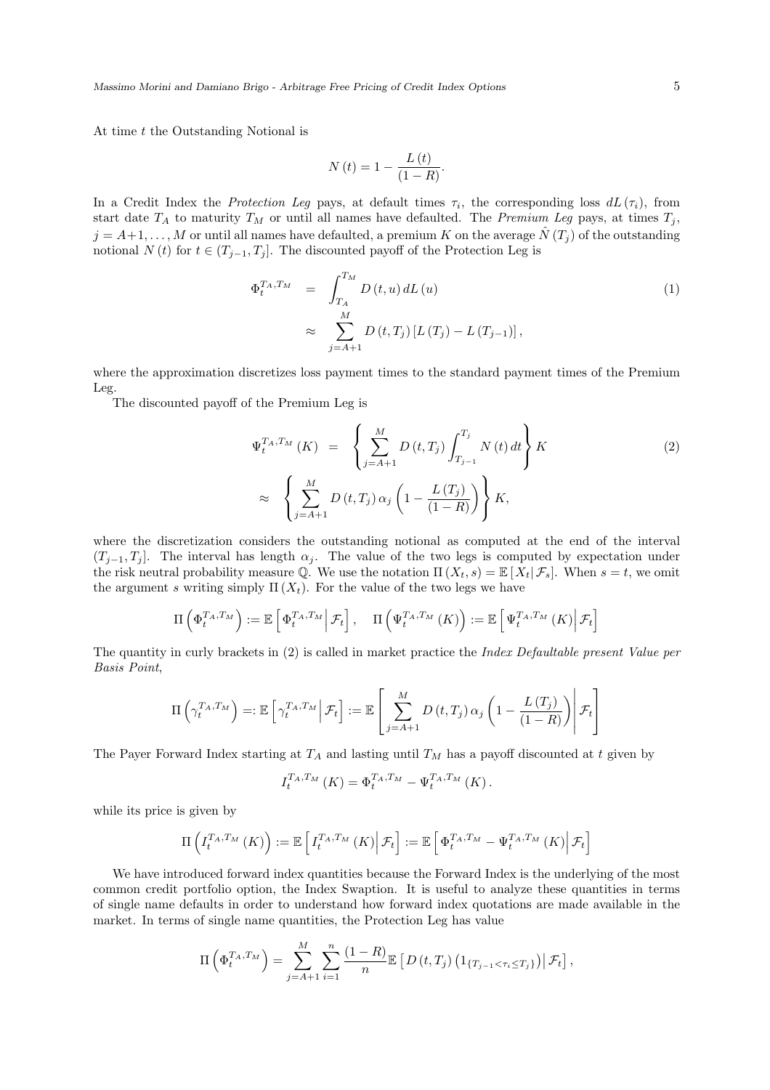Massimo Morini and Damiano Brigo - Arbitrage Free Pricing of Credit Index Options 5

At time  $t$  the Outstanding Notional is

$$
N(t) = 1 - \frac{L(t)}{(1 - R)}.
$$

In a Credit Index the *Protection Leg* pays, at default times  $\tau_i$ , the corresponding loss  $dL(\tau_i)$ , from start date  $T_A$  to maturity  $T_M$  or until all names have defaulted. The Premium Leg pays, at times  $T_j$ ,  $j = A+1, \ldots, M$  or until all names have defaulted, a premium K on the average  $\hat{N}(T_j)$  of the outstanding notional  $N(t)$  for  $t \in (T_{j-1}, T_j]$ . The discounted payoff of the Protection Leg is

$$
\Phi_t^{T_A, T_M} = \int_{T_A}^{T_M} D(t, u) dL(u)
$$
\n
$$
\approx \sum_{j=A+1}^{M} D(t, T_j) [L(T_j) - L(T_{j-1})],
$$
\n(1)

where the approximation discretizes loss payment times to the standard payment times of the Premium Leg.

The discounted payoff of the Premium Leg is

$$
\Psi_{t}^{T_{A},T_{M}}(K) = \left\{ \sum_{j=A+1}^{M} D(t,T_{j}) \int_{T_{j-1}}^{T_{j}} N(t) dt \right\} K
$$
\n
$$
\approx \left\{ \sum_{j=A+1}^{M} D(t,T_{j}) \alpha_{j} \left( 1 - \frac{L(T_{j})}{(1-R)} \right) \right\} K,
$$
\n(2)

where the discretization considers the outstanding notional as computed at the end of the interval  $(T_{j-1}, T_j]$ . The interval has length  $\alpha_j$ . The value of the two legs is computed by expectation under the risk neutral probability measure  $\mathbb{Q}$ . We use the notation  $\Pi(X_t, s) = \mathbb{E}[X_t | \mathcal{F}_s]$ . When  $s = t$ , we omit the argument s writing simply  $\Pi(X_t)$ . For the value of the two legs we have

$$
\Pi\left(\Phi_t^{T_A,T_M}\right) := \mathbb{E}\left[\left.\Phi_t^{T_A,T_M}\right|\mathcal{F}_t\right], \quad \Pi\left(\Psi_t^{T_A,T_M}\left(K\right)\right) := \mathbb{E}\left[\left.\Psi_t^{T_A,T_M}\left(K\right)\right|\mathcal{F}_t\right]
$$

The quantity in curly brackets in (2) is called in market practice the Index Defaultable present Value per Basis Point,

$$
\Pi\left(\gamma_t^{T_A,T_M}\right) =: \mathbb{E}\left[\left.\gamma_t^{T_A,T_M}\right|\mathcal{F}_t\right] := \mathbb{E}\left[\left.\sum_{j=A+1}^M D\left(t,T_j\right)\alpha_j\left(1-\frac{L\left(T_j\right)}{(1-R)}\right)\right|\mathcal{F}_t\right]
$$

The Payer Forward Index starting at  $T_A$  and lasting until  $T_M$  has a payoff discounted at t given by

$$
I_t^{T_A,T_M}(K) = \Phi_t^{T_A,T_M} - \Psi_t^{T_A,T_M}(K).
$$

while its price is given by

$$
\Pi\left(I_t^{T_A,T_M}\left(K\right)\right):=\mathbb{E}\left[I_t^{T_A,T_M}\left(K\right)\middle|\mathcal{F}_t\right]:=\mathbb{E}\left[\Phi_t^{T_A,T_M}-\Psi_t^{T_A,T_M}\left(K\right)\middle|\mathcal{F}_t\right]
$$

We have introduced forward index quantities because the Forward Index is the underlying of the most common credit portfolio option, the Index Swaption. It is useful to analyze these quantities in terms of single name defaults in order to understand how forward index quotations are made available in the market. In terms of single name quantities, the Protection Leg has value

$$
\Pi\left(\Phi_t^{T_A,T_M}\right) = \sum_{j=A+1}^M \sum_{i=1}^n \frac{(1-R)}{n} \mathbb{E}\left[D\left(t,T_j\right)\left(1_{\{T_{j-1} < \tau_i \leq T_j\}}\right)\middle|\mathcal{F}_t\right],
$$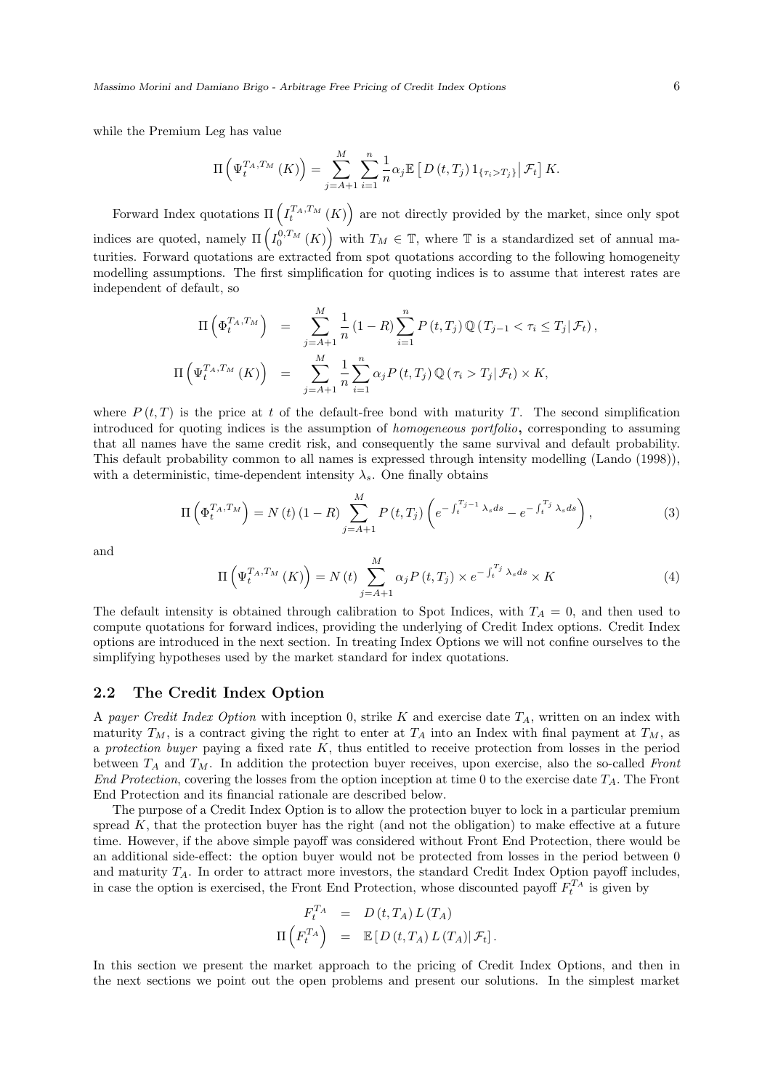while the Premium Leg has value

$$
\Pi\left(\Psi_t^{T_A,T_M}(K)\right) = \sum_{j=A+1}^M \sum_{i=1}^n \frac{1}{n} \alpha_j \mathbb{E}\left[D\left(t,T_j\right)1_{\{\tau_i>T_j\}}\middle|\mathcal{F}_t\right] K.
$$

Forward Index quotations  $\Pi\left(I_t^{T_A,T_M}\left(K\right)\right)$  $(K)$  are not directly provided by the market, since only spot indices are quoted, namely  $\Pi\left(I_0^{0,T_M}(K)\right)$  with  $T_M \in \mathbb{T}$ , where  $\mathbb{T}$  is a standardized set of annual maturities. Forward quotations are extracted from spot quotations according to the following homogeneity modelling assumptions. The first simplification for quoting indices is to assume that interest rates are independent of default, so

$$
\Pi\left(\Phi_t^{T_A, T_M}\right) = \sum_{j=A+1}^M \frac{1}{n} (1 - R) \sum_{i=1}^n P(t, T_j) \mathbb{Q}\left(T_{j-1} < \tau_i \le T_j | \mathcal{F}_t\right),
$$
\n
$$
\Pi\left(\Psi_t^{T_A, T_M}\left(K\right)\right) = \sum_{j=A+1}^M \frac{1}{n} \sum_{i=1}^n \alpha_j P(t, T_j) \mathbb{Q}\left(\tau_i > T_j | \mathcal{F}_t\right) \times K,
$$

where  $P(t,T)$  is the price at t of the default-free bond with maturity T. The second simplification introduced for quoting indices is the assumption of homogeneous portfolio, corresponding to assuming that all names have the same credit risk, and consequently the same survival and default probability. This default probability common to all names is expressed through intensity modelling (Lando (1998)), with a deterministic, time-dependent intensity  $\lambda_s$ . One finally obtains

$$
\Pi\left(\Phi_t^{T_A,T_M}\right) = N\left(t\right)\left(1-R\right) \sum_{j=A+1}^{M} P\left(t,T_j\right) \left(e^{-\int_t^{T_{j-1}} \lambda_s ds} - e^{-\int_t^{T_j} \lambda_s ds}\right),\tag{3}
$$

and

$$
\Pi\left(\Psi_t^{T_A,T_M}\left(K\right)\right) = N\left(t\right) \sum_{j=A+1}^{M} \alpha_j P\left(t,T_j\right) \times e^{-\int_t^{T_j} \lambda_s ds} \times K\tag{4}
$$

The default intensity is obtained through calibration to Spot Indices, with  $T_A = 0$ , and then used to compute quotations for forward indices, providing the underlying of Credit Index options. Credit Index options are introduced in the next section. In treating Index Options we will not confine ourselves to the simplifying hypotheses used by the market standard for index quotations.

#### 2.2 The Credit Index Option

A payer Credit Index Option with inception 0, strike K and exercise date  $T_A$ , written on an index with maturity  $T_M$ , is a contract giving the right to enter at  $T_A$  into an Index with final payment at  $T_M$ , as a protection buyer paying a fixed rate  $K$ , thus entitled to receive protection from losses in the period between  $T_A$  and  $T_M$ . In addition the protection buyer receives, upon exercise, also the so-called Front End Protection, covering the losses from the option inception at time 0 to the exercise date  $T_A$ . The Front End Protection and its financial rationale are described below.

The purpose of a Credit Index Option is to allow the protection buyer to lock in a particular premium spread  $K$ , that the protection buyer has the right (and not the obligation) to make effective at a future time. However, if the above simple payoff was considered without Front End Protection, there would be an additional side-effect: the option buyer would not be protected from losses in the period between 0 and maturity  $T_A$ . In order to attract more investors, the standard Credit Index Option payoff includes, in case the option is exercised, the Front End Protection, whose discounted payoff  $F_t^{T_A}$  is given by

$$
F_t^{T_A} = D(t, T_A) L(T_A)
$$
  

$$
\Pi\left(F_t^{T_A}\right) = \mathbb{E}\left[D(t, T_A) L(T_A)|\mathcal{F}_t\right].
$$

In this section we present the market approach to the pricing of Credit Index Options, and then in the next sections we point out the open problems and present our solutions. In the simplest market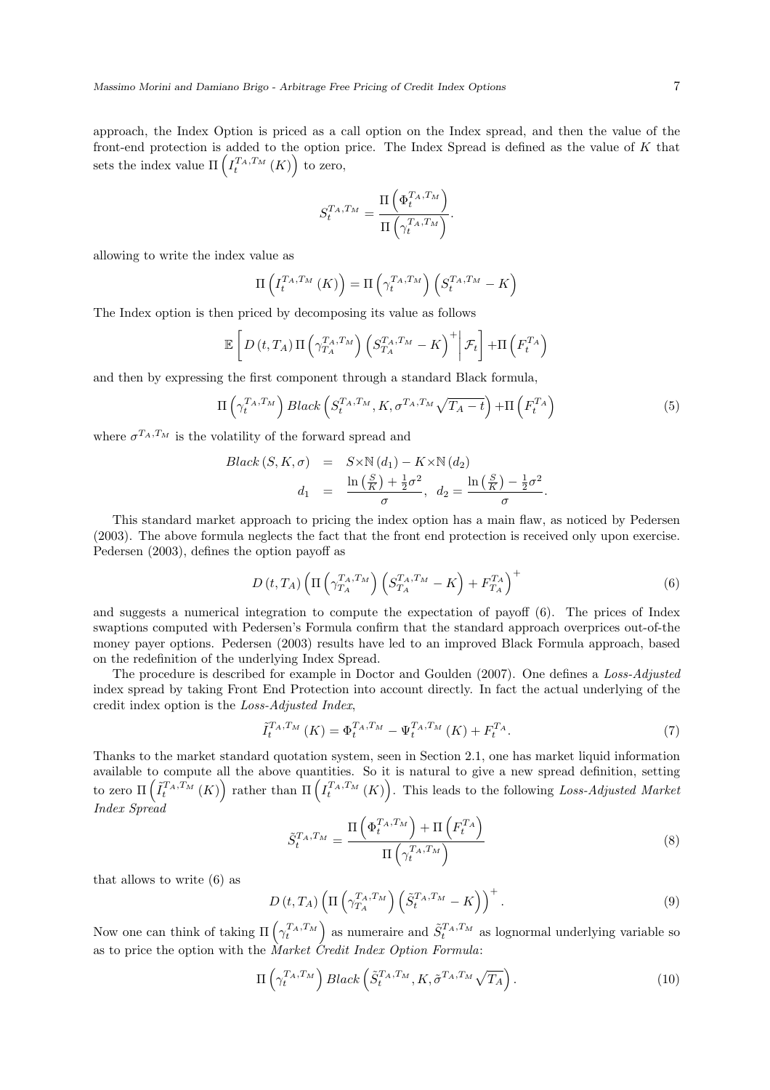approach, the Index Option is priced as a call option on the Index spread, and then the value of the front-end protection is added to the option price. The Index Spread is defined as the value of K that front-end protection is added to the option justs the index value  $\Pi\left(\overline{I_t^{T_A,T_M}\left(K\right)}\right)$  to zero,

$$
S_t^{T_A,T_M} = \frac{\Pi\left(\Phi_t^{T_A,T_M}\right)}{\Pi\left(\gamma_t^{T_A,T_M}\right)}.
$$

allowing to write the index value as

$$
\Pi\left(I_t^{T_A,T_M}\left(K\right)\right)=\Pi\left(\gamma_t^{T_A,T_M}\right)\left(S_t^{T_A,T_M}-K\right)
$$

The Index option is then priced by decomposing its value as follows

$$
\mathbb{E}\left[D\left(t,T_A\right)\Pi\left(\gamma_{T_A}^{T_A,T_M}\right)\left(S_{T_A}^{T_A,T_M}-K\right)^+\middle|\mathcal{F}_t\right]+\Pi\left(F_t^{T_A}\right)
$$

and then by expressing the first component through a standard Black formula,

$$
\Pi\left(\gamma_t^{T_A,T_M}\right) Black\left(S_t^{T_A,T_M}, K, \sigma^{T_A,T_M}\sqrt{T_A-t}\right) + \Pi\left(F_t^{T_A}\right) \tag{5}
$$

where  $\sigma^{T_A,T_M}$  is the volatility of the forward spread and

$$
Black (S, K, \sigma) = S \times \mathbb{N} (d_1) - K \times \mathbb{N} (d_2)
$$
  

$$
d_1 = \frac{\ln \left(\frac{S}{K}\right) + \frac{1}{2}\sigma^2}{\sigma}, \ d_2 = \frac{\ln \left(\frac{S}{K}\right) - \frac{1}{2}\sigma^2}{\sigma}.
$$

This standard market approach to pricing the index option has a main flaw, as noticed by Pedersen (2003). The above formula neglects the fact that the front end protection is received only upon exercise. Pedersen (2003), defines the option payoff as

$$
D\left(t,T_A\right)\left(\Pi\left(\gamma_{T_A}^{T_A,T_M}\right)\left(S_{T_A}^{T_A,T_M}-K\right)+F_{T_A}^{T_A}\right)^{+}\tag{6}
$$

and suggests a numerical integration to compute the expectation of payoff (6). The prices of Index swaptions computed with Pedersen's Formula confirm that the standard approach overprices out-of-the money payer options. Pedersen (2003) results have led to an improved Black Formula approach, based on the redefinition of the underlying Index Spread.

The procedure is described for example in Doctor and Goulden (2007). One defines a Loss-Adjusted index spread by taking Front End Protection into account directly. In fact the actual underlying of the credit index option is the Loss-Adjusted Index,

$$
\tilde{I}_t^{T_A, T_M}(K) = \Phi_t^{T_A, T_M} - \Psi_t^{T_A, T_M}(K) + F_t^{T_A}.
$$
\n
$$
(7)
$$

Thanks to the market standard quotation system, seen in Section 2.1, one has market liquid information available to compute all the above quantities. So it is natural to give a new spread definition, setting available to compute all the above quantities. So it is natural to give a new spread definition, setting<br>to zero  $\Pi\left(\tilde{I}_t^{T_A,T_M}\left(K\right)\right)$  rather than  $\Pi\left(I_t^{T_A,T_M}\left(K\right)\right)$ . This leads to the following Loss-Adjusted Mark Index Spread  $\overline{a}$ ´ ´

$$
\tilde{S}_t^{T_A, T_M} = \frac{\Pi\left(\Phi_t^{T_A, T_M}\right) + \Pi\left(F_t^{T_A}\right)}{\Pi\left(\gamma_t^{T_A, T_M}\right)}\tag{8}
$$

that allows to write (6) as

$$
D(t, T_A) \left( \Pi \left( \gamma_{T_A}^{T_A, T_M} \right) \left( \tilde{S}_t^{T_A, T_M} - K \right) \right)^+.
$$
\n
$$
(9)
$$

Now one can think of taking  $\Pi \left( \gamma_t^{T_A, T_M} \right)$ as numeraire and  $\tilde{S}_t^{T_A,T_M}$  as lognormal underlying variable so as to price the option with the Market Credit Index Option Formula:

$$
\Pi\left(\gamma_t^{T_A, T_M}\right) Black\left(\tilde{S}_t^{T_A, T_M}, K, \tilde{\sigma}^{T_A, T_M}\sqrt{T_A}\right). \tag{10}
$$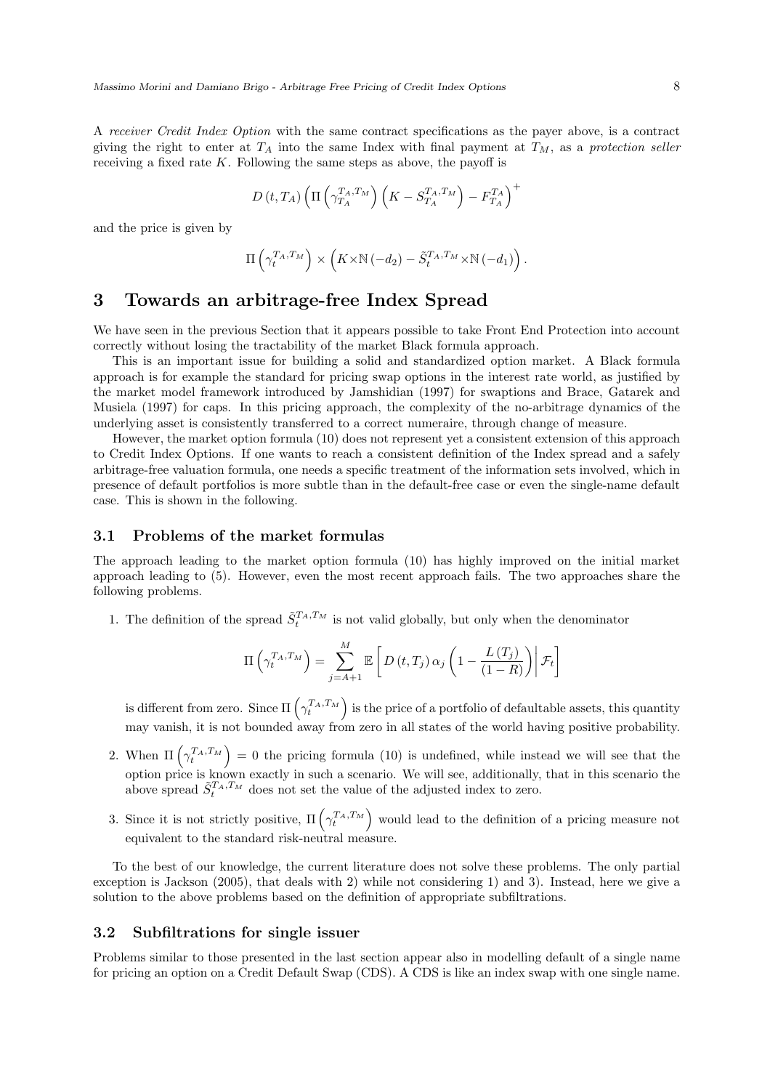A receiver Credit Index Option with the same contract specifications as the payer above, is a contract giving the right to enter at  $T_A$  into the same Index with final payment at  $T_M$ , as a protection seller receiving a fixed rate  $K$ . Following the same steps as above, the payoff is

$$
D\left(t,T_A\right)\left(\Pi\left(\gamma_{T_A}^{T_A,T_M}\right)\left(K-S_{T_A}^{T_A,T_M}\right)-F_{T_A}^{T_A}\right)^+
$$

and the price is given by

$$
\Pi\left(\gamma_t^{T_A, T_M}\right) \times \left(K \times \mathbb{N}(-d_2) - \tilde{S}_t^{T_A, T_M} \times \mathbb{N}(-d_1)\right).
$$

## 3 Towards an arbitrage-free Index Spread

We have seen in the previous Section that it appears possible to take Front End Protection into account correctly without losing the tractability of the market Black formula approach.

This is an important issue for building a solid and standardized option market. A Black formula approach is for example the standard for pricing swap options in the interest rate world, as justified by the market model framework introduced by Jamshidian (1997) for swaptions and Brace, Gatarek and Musiela (1997) for caps. In this pricing approach, the complexity of the no-arbitrage dynamics of the underlying asset is consistently transferred to a correct numeraire, through change of measure.

However, the market option formula (10) does not represent yet a consistent extension of this approach to Credit Index Options. If one wants to reach a consistent definition of the Index spread and a safely arbitrage-free valuation formula, one needs a specific treatment of the information sets involved, which in presence of default portfolios is more subtle than in the default-free case or even the single-name default case. This is shown in the following.

#### 3.1 Problems of the market formulas

The approach leading to the market option formula (10) has highly improved on the initial market approach leading to (5). However, even the most recent approach fails. The two approaches share the following problems.

1. The definition of the spread  $\tilde{S}_t^{T_A,T_M}$  is not valid globally, but only when the denominator

$$
\Pi\left(\gamma_t^{T_A,T_M}\right) = \sum_{j=A+1}^M \mathbb{E}\left[D\left(t,T_j\right)\alpha_j\left(1-\frac{L\left(T_j\right)}{\left(1-R\right)}\right)\bigg|\mathcal{F}_t\right]
$$

is different from zero. Since  $\Pi \left( \gamma_t^{T_A, T_M} \right)$ ´ is the price of a portfolio of defaultable assets, this quantity may vanish, it is not bounded away from zero in all states of the world having positive probability.

- 2. When  $\Pi\left(\gamma_t^{T_A,T_M}\right)$  $= 0$  the pricing formula  $(10)$  is undefined, while instead we will see that the option price is known exactly in such a scenario. We will see, additionally, that in this scenario the above spread  $\tilde{S}_t^{T_A,T_M}$  does not set the value of the adjusted index to zero.
- 3. Since it is not strictly positive,  $\Pi\left(\gamma_t^{T_A,T_M}\right)$ would lead to the definition of a pricing measure not equivalent to the standard risk-neutral measure.

´

To the best of our knowledge, the current literature does not solve these problems. The only partial exception is Jackson (2005), that deals with 2) while not considering 1) and 3). Instead, here we give a solution to the above problems based on the definition of appropriate subfiltrations.

#### 3.2 Subfiltrations for single issuer

´

Problems similar to those presented in the last section appear also in modelling default of a single name for pricing an option on a Credit Default Swap (CDS). A CDS is like an index swap with one single name.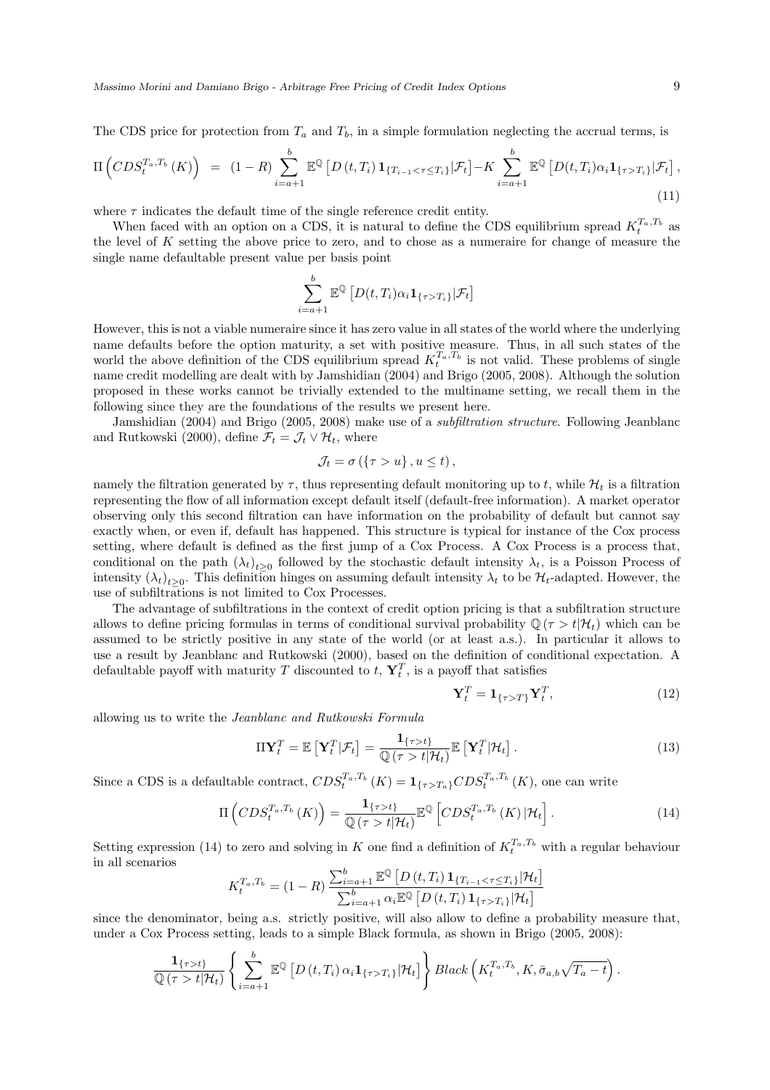The CDS price for protection from  $T_a$  and  $T_b$ , in a simple formulation neglecting the accrual terms, is

$$
\Pi\left(CDS_t^{T_a,T_b}(K)\right) = (1-R)\sum_{i=a+1}^b \mathbb{E}^{\mathbb{Q}}\left[D\left(t,T_i\right)\mathbf{1}_{\{T_{i-1}\leq \tau\leq T_i\}}|\mathcal{F}_t\right] - K\sum_{i=a+1}^b \mathbb{E}^{\mathbb{Q}}\left[D(t,T_i)\alpha_i\mathbf{1}_{\{\tau>T_i\}}|\mathcal{F}_t\right],\tag{11}
$$

where  $\tau$  indicates the default time of the single reference credit entity.

When faced with an option on a CDS, it is natural to define the CDS equilibrium spread  $K_t^{T_a,T_b}$  as the level of K setting the above price to zero, and to chose as a numeraire for change of measure the single name defaultable present value per basis point

$$
\sum_{i=a+1}^{b} \mathbb{E}^{\mathbb{Q}} \left[ D(t,T_i) \alpha_i \mathbf{1}_{\{\tau > T_i\}} | \mathcal{F}_t \right]
$$

However, this is not a viable numeraire since it has zero value in all states of the world where the underlying name defaults before the option maturity, a set with positive measure. Thus, in all such states of the world the above definition of the CDS equilibrium spread  $K_t^{T_a,T_b}$  is not valid. These problems of single name credit modelling are dealt with by Jamshidian (2004) and Brigo (2005, 2008). Although the solution proposed in these works cannot be trivially extended to the multiname setting, we recall them in the following since they are the foundations of the results we present here.

Jamshidian (2004) and Brigo (2005, 2008) make use of a subfiltration structure. Following Jeanblanc and Rutkowski (2000), define  $\mathcal{F}_t = \mathcal{J}_t \vee \mathcal{H}_t$ , where

$$
\mathcal{J}_t = \sigma\left(\{\tau > u\}, u \le t\right),\,
$$

namely the filtration generated by  $\tau$ , thus representing default monitoring up to t, while  $\mathcal{H}_t$  is a filtration representing the flow of all information except default itself (default-free information). A market operator observing only this second filtration can have information on the probability of default but cannot say exactly when, or even if, default has happened. This structure is typical for instance of the Cox process setting, where default is defined as the first jump of a Cox Process. A Cox Process is a process that, conditional on the path  $(\lambda_t)_{t\geq 0}$  followed by the stochastic default intensity  $\lambda_t$ , is a Poisson Process of intensity  $(\lambda_t)_{t\geq 0}$ . This definition hinges on assuming default intensity  $\lambda_t$  to be  $\mathcal{H}_t$ -adapted. However, the use of subfiltrations is not limited to Cox Processes.

The advantage of subfiltrations in the context of credit option pricing is that a subfiltration structure allows to define pricing formulas in terms of conditional survival probability  $\mathbb{Q}(\tau > t | \mathcal{H}_t)$  which can be assumed to be strictly positive in any state of the world (or at least a.s.). In particular it allows to use a result by Jeanblanc and Rutkowski (2000), based on the definition of conditional expectation. A defaultable payoff with maturity  $T$  discounted to  $t$ ,  $\mathbf{Y}_t^T$ , is a payoff that satisfies

$$
\mathbf{Y}_t^T = \mathbf{1}_{\{\tau > T\}} \mathbf{Y}_t^T,\tag{12}
$$

allowing us to write the Jeanblanc and Rutkowski Formula

$$
\Pi \mathbf{Y}_t^T = \mathbb{E} \left[ \mathbf{Y}_t^T | \mathcal{F}_t \right] = \frac{\mathbf{1}_{\{\tau > t\}}}{\mathbb{Q} \left( \tau > t | \mathcal{H}_t \right)} \mathbb{E} \left[ \mathbf{Y}_t^T | \mathcal{H}_t \right]. \tag{13}
$$

Since a CDS is a defaultable contract,  $CDS_t^{T_a,T_b}(K) = \mathbf{1}_{\{\tau>T_a\}} CDS_t^{T_a,T_b}(K)$ , one can write

$$
\Pi\left(CDS_t^{T_a,T_b}(K)\right) = \frac{\mathbf{1}_{\{\tau > t\}}}{\mathbb{Q}\left(\tau > t|\mathcal{H}_t\right)} \mathbb{E}^{\mathbb{Q}}\left[CDS_t^{T_a,T_b}(K)|\mathcal{H}_t\right].
$$
\n(14)

Setting expression (14) to zero and solving in K one find a definition of  $K_t^{T_a,T_b}$  with a regular behaviour in all scenarios  $\overline{\nabla^b}$ £ ¤

$$
K_t^{T_a, T_b} = (1 - R) \frac{\sum_{i=a+1}^b \mathbb{E}^{\mathbb{Q}} \left[ D\left(t, T_i\right) \mathbf{1}_{\{T_{i-1} < \tau \le T_i\}} \middle| \mathcal{H}_t \right]}{\sum_{i=a+1}^b \alpha_i \mathbb{E}^{\mathbb{Q}} \left[ D\left(t, T_i\right) \mathbf{1}_{\{\tau > T_i\}} \middle| \mathcal{H}_t \right]}
$$

since the denominator, being a.s. strictly positive, will also allow to define a probability measure that, under a Cox Process setting, leads to a simple Black formula, as shown in Brigo (2005, 2008):

$$
\frac{\mathbf{1}_{\{\tau>t\}}}{\mathbb{Q}(\tau>t|\mathcal{H}_t)}\left\{\sum_{i=a+1}^b\mathbb{E}^{\mathbb{Q}}\left[D\left(t,T_i\right)\alpha_i\mathbf{1}_{\{\tau>T_i\}}|\mathcal{H}_t\right]\right\} \text{Black}\left(K_t^{T_a,T_b},K,\bar{\sigma}_{a,b}\sqrt{T_a-t}\right).
$$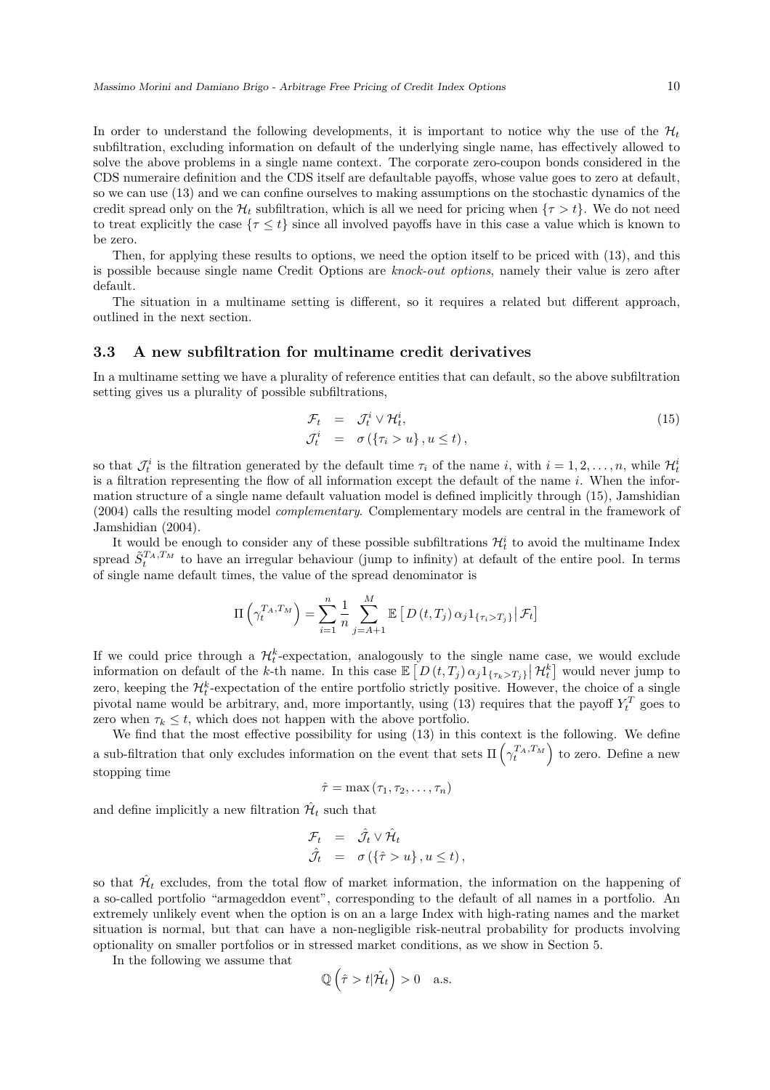In order to understand the following developments, it is important to notice why the use of the  $\mathcal{H}_t$ subfiltration, excluding information on default of the underlying single name, has effectively allowed to solve the above problems in a single name context. The corporate zero-coupon bonds considered in the CDS numeraire definition and the CDS itself are defaultable payoffs, whose value goes to zero at default, so we can use (13) and we can confine ourselves to making assumptions on the stochastic dynamics of the credit spread only on the  $\mathcal{H}_t$  subfiltration, which is all we need for pricing when  $\{\tau > t\}$ . We do not need to treat explicitly the case  $\{\tau \leq t\}$  since all involved payoffs have in this case a value which is known to be zero.

Then, for applying these results to options, we need the option itself to be priced with (13), and this is possible because single name Credit Options are knock-out options, namely their value is zero after default.

The situation in a multiname setting is different, so it requires a related but different approach, outlined in the next section.

#### 3.3 A new subfiltration for multiname credit derivatives

In a multiname setting we have a plurality of reference entities that can default, so the above subfiltration setting gives us a plurality of possible subfiltrations,

$$
\mathcal{F}_t = \mathcal{J}_t^i \vee \mathcal{H}_t^i,
$$
  
\n
$$
\mathcal{J}_t^i = \sigma(\{\tau_i > u\}, u \le t),
$$
\n(15)

so that  $\mathcal{J}_t^i$  is the filtration generated by the default time  $\tau_i$  of the name i, with  $i = 1, 2, \ldots, n$ , while  $\mathcal{H}_t^i$ is a filtration representing the flow of all information except the default of the name  $i$ . When the information structure of a single name default valuation model is defined implicitly through (15), Jamshidian (2004) calls the resulting model complementary. Complementary models are central in the framework of Jamshidian (2004).

It would be enough to consider any of these possible subfiltrations  $\mathcal{H}_t^i$  to avoid the multiname Index spread  $\tilde{S}^{T_A,T_M}_t$  to have an irregular behaviour (jump to infinity) at default of the entire pool. In terms of single name default times, the value of the spread denominator is

$$
\Pi\left(\gamma_t^{T_A,T_M}\right) = \sum_{i=1}^n \frac{1}{n} \sum_{j=A+1}^M \mathbb{E}\left[D\left(t,T_j\right) \alpha_j 1_{\{\tau_i>T_j\}}\right|\mathcal{F}_t\right]
$$

If we could price through a  $\mathcal{H}_t^k$ -expectation, analogously to the single name case, we would exclude information on default of the k-th name. In this case  $\mathbb{E}\left[D(t,T_j)\alpha_j 1_{\{\tau_k>T_j\}}\Big|\mathcal{H}_t^k\right]$  would never jump to zero, keeping the  $\mathcal{H}_t^k$ -expectation of the entire portfolio strictly positive. However, the choice of a single pivotal name would be arbitrary, and, more importantly, using (13) requires that the payoff  $Y_t^T$  goes to zero when  $\tau_k \leq t$ , which does not happen with the above portfolio.

We find that the most effective possibility for using  $(13)$  in this context is the following. We define We find that the most effective possibility for using (13) in this context is the following. We define<br>a sub-filtration that only excludes information on the event that sets  $\Pi\left(\gamma_t^{T_A,T_M}\right)$  to zero. Define a new stopping time

$$
\hat{\tau} = \max(\tau_1, \tau_2, \dots, \tau_n)
$$

and define implicitly a new filtration  $\hat{\mathcal{H}}_t$  such that

$$
\mathcal{F}_t = \hat{\mathcal{J}}_t \vee \hat{\mathcal{H}}_t \n\hat{\mathcal{J}}_t = \sigma(\{\hat{\tau} > u\}, u \le t),
$$

so that  $\hat{\mathcal{H}}_t$  excludes, from the total flow of market information, the information on the happening of a so-called portfolio "armageddon event", corresponding to the default of all names in a portfolio. An extremely unlikely event when the option is on an a large Index with high-rating names and the market situation is normal, but that can have a non-negligible risk-neutral probability for products involving optionality on smaller portfolios or in stressed market conditions, as we show in Section 5.

In the following we assume that

$$
\mathbb{Q}\left(\hat{\tau} > t | \hat{\mathcal{H}}_t\right) > 0 \quad \text{a.s.}
$$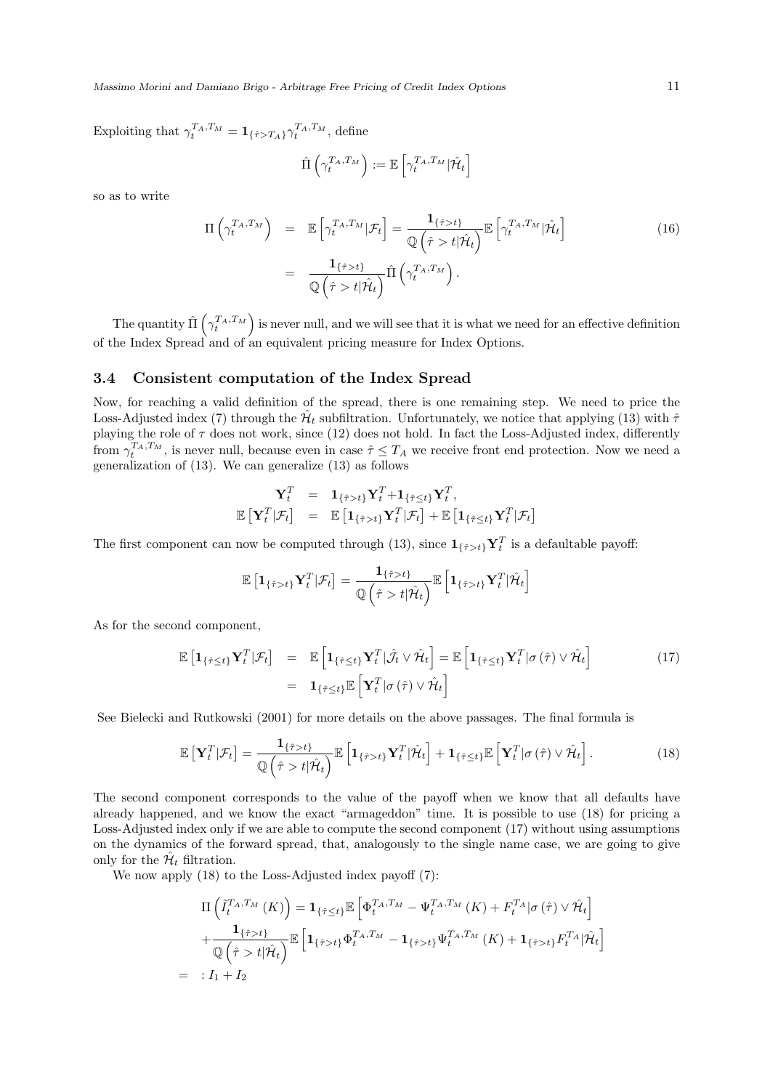Exploiting that  $\gamma_t^{T_A, T_M} = \mathbf{1}_{\{\hat{\tau} > T_A\}} \gamma_t^{T_A, T_M}$ , define

 $\overline{a}$ 

$$
\hat{\Pi}\left(\gamma_t^{T_A,T_M}\right) := \mathbb{E}\left[\gamma_t^{T_A,T_M}|\hat{\mathcal{H}}_t\right]
$$

so as to write

$$
\Pi\left(\gamma_t^{T_A, T_M}\right) = \mathbb{E}\left[\gamma_t^{T_A, T_M} | \mathcal{F}_t\right] = \frac{\mathbf{1}_{\{\hat{\tau} > t\}}}{\mathbb{Q}\left(\hat{\tau} > t | \hat{\mathcal{H}}_t\right)} \mathbb{E}\left[\gamma_t^{T_A, T_M} | \hat{\mathcal{H}}_t\right]
$$
\n
$$
= \frac{\mathbf{1}_{\{\hat{\tau} > t\}}}{\mathbb{Q}\left(\hat{\tau} > t | \hat{\mathcal{H}}_t\right)} \hat{\Pi}\left(\gamma_t^{T_A, T_M}\right). \tag{16}
$$

The quantity  $\hat{\Pi}$  $\gamma^{T_A,T_M}_t$ is never null, and we will see that it is what we need for an effective definition of the Index Spread and of an equivalent pricing measure for Index Options.

#### 3.4 Consistent computation of the Index Spread

´

Now, for reaching a valid definition of the spread, there is one remaining step. We need to price the Loss-Adjusted index (7) through the  $\hat{\mathcal{H}}_t$  subfiltration. Unfortunately, we notice that applying (13) with  $\hat{\tau}$ playing the role of  $\tau$  does not work, since (12) does not hold. In fact the Loss-Adjusted index, differently from  $\gamma_t^{T_A, T_M}$ , is never null, because even in case  $\hat{\tau} \leq T_A$  we receive front end protection. Now we need a generalization of (13). We can generalize (13) as follows

$$
\mathbf{Y}_{t}^{T} = \mathbf{1}_{\{\hat{\tau} > t\}} \mathbf{Y}_{t}^{T} + \mathbf{1}_{\{\hat{\tau} \le t\}} \mathbf{Y}_{t}^{T},
$$
  

$$
\mathbb{E} \left[ \mathbf{Y}_{t}^{T} | \mathcal{F}_{t} \right] = \mathbb{E} \left[ \mathbf{1}_{\{\hat{\tau} > t\}} \mathbf{Y}_{t}^{T} | \mathcal{F}_{t} \right] + \mathbb{E} \left[ \mathbf{1}_{\{\hat{\tau} \le t\}} \mathbf{Y}_{t}^{T} | \mathcal{F}_{t} \right]
$$

The first component can now be computed through (13), since  $1_{\{\hat{\tau}>t\}} Y_t^T$  is a defaultable payoff:

$$
\mathbb{E}\left[\mathbf{1}_{\{\hat{\tau}>t\}}\mathbf{Y}_{t}^{T}|\mathcal{F}_{t}\right]=\frac{\mathbf{1}_{\{\hat{\tau}>t\}}}{\mathbb{Q}\left(\hat{\tau}>t|\hat{\mathcal{H}}_{t}\right)}\mathbb{E}\left[\mathbf{1}_{\{\hat{\tau}>t\}}\mathbf{Y}_{t}^{T}|\hat{\mathcal{H}}_{t}\right]
$$

As for the second component,

$$
\mathbb{E}\left[\mathbf{1}_{\{\hat{\tau}\leq t\}}\mathbf{Y}_{t}^{T}|\mathcal{F}_{t}\right] = \mathbb{E}\left[\mathbf{1}_{\{\hat{\tau}\leq t\}}\mathbf{Y}_{t}^{T}|\hat{\mathcal{J}}_{t}\vee\hat{\mathcal{H}}_{t}\right] = \mathbb{E}\left[\mathbf{1}_{\{\hat{\tau}\leq t\}}\mathbf{Y}_{t}^{T}|\sigma(\hat{\tau})\vee\hat{\mathcal{H}}_{t}\right]
$$
\n
$$
= \mathbf{1}_{\{\hat{\tau}\leq t\}}\mathbb{E}\left[\mathbf{Y}_{t}^{T}|\sigma(\hat{\tau})\vee\hat{\mathcal{H}}_{t}\right]
$$
\n(17)

See Bielecki and Rutkowski (2001) for more details on the above passages. The final formula is

$$
\mathbb{E}\left[\mathbf{Y}_{t}^{T}|\mathcal{F}_{t}\right] = \frac{\mathbf{1}_{\{\hat{\tau} > t\}}}{\mathbb{Q}\left(\hat{\tau} > t|\hat{\mathcal{H}}_{t}\right)}\mathbb{E}\left[\mathbf{1}_{\{\hat{\tau} > t\}}\mathbf{Y}_{t}^{T}|\hat{\mathcal{H}}_{t}\right] + \mathbf{1}_{\{\hat{\tau} \le t\}}\mathbb{E}\left[\mathbf{Y}_{t}^{T}|\sigma\left(\hat{\tau}\right) \vee \hat{\mathcal{H}}_{t}\right].
$$
\n(18)

The second component corresponds to the value of the payoff when we know that all defaults have already happened, and we know the exact "armageddon" time. It is possible to use (18) for pricing a Loss-Adjusted index only if we are able to compute the second component (17) without using assumptions on the dynamics of the forward spread, that, analogously to the single name case, we are going to give only for the  $\hat{\mathcal{H}}_t$  filtration.

We now apply  $(18)$  to the Loss-Adjusted index payoff  $(7)$ :

$$
\Pi\left(\tilde{I}_{t}^{T_{A},T_{M}}\left(K\right)\right)=\mathbf{1}_{\{\hat{\tau}\leq t\}}\mathbb{E}\left[\Phi_{t}^{T_{A},T_{M}}-\Psi_{t}^{T_{A},T_{M}}\left(K\right)+F_{t}^{T_{A}}|\sigma\left(\hat{\tau}\right)\vee\hat{\mathcal{H}}_{t}\right]
$$
\n
$$
+\frac{\mathbf{1}_{\{\hat{\tau}>t\}}}{\mathbb{Q}\left(\hat{\tau}>t|\hat{\mathcal{H}}_{t}\right)}\mathbb{E}\left[\mathbf{1}_{\{\hat{\tau}>t\}}\Phi_{t}^{T_{A},T_{M}}-\mathbf{1}_{\{\hat{\tau}>t\}}\Psi_{t}^{T_{A},T_{M}}\left(K\right)+\mathbf{1}_{\{\hat{\tau}>t\}}F_{t}^{T_{A}}|\hat{\mathcal{H}}_{t}\right]
$$
\n
$$
=\begin{array}{l}\n\vdots\ I_{1}+I_{2}\n\end{array}
$$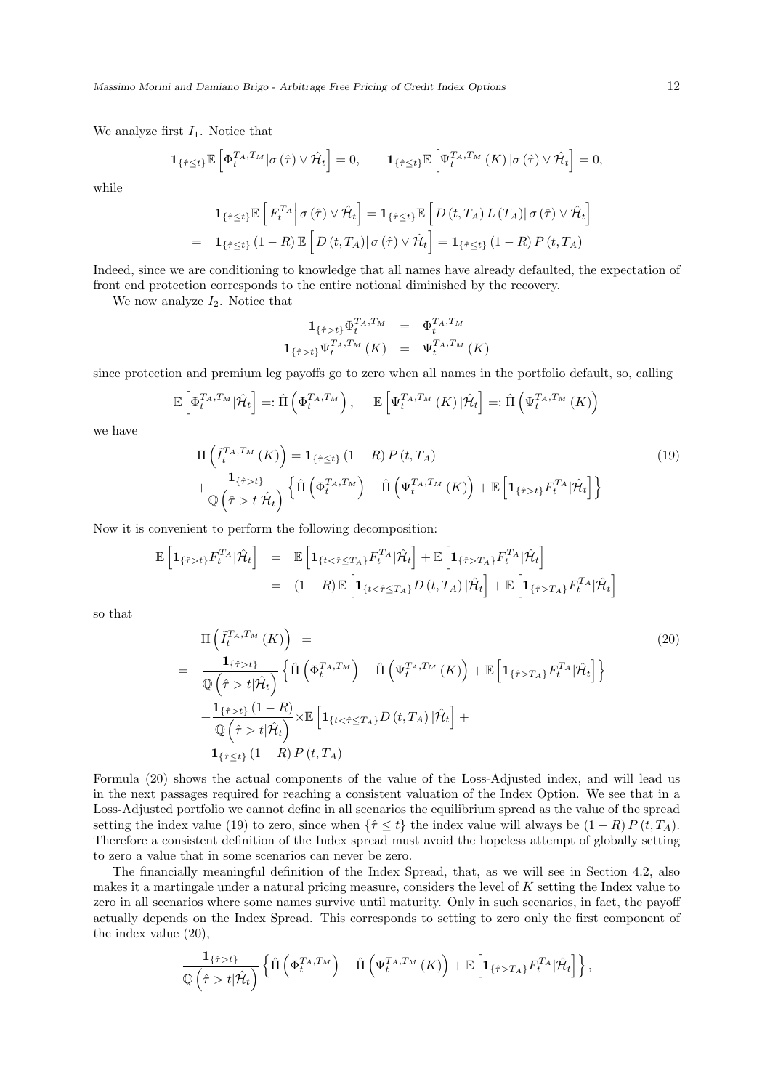We analyze first  $I_1$ . Notice that

$$
\mathbf{1}_{\{\hat{\tau}\leq t\}}\mathbb{E}\left[\Phi_t^{T_A,T_M}|\sigma(\hat{\tau})\vee\hat{\mathcal{H}}_t\right] = 0, \qquad \mathbf{1}_{\{\hat{\tau}\leq t\}}\mathbb{E}\left[\Psi_t^{T_A,T_M}\left(K\right)|\sigma(\hat{\tau})\vee\hat{\mathcal{H}}_t\right] = 0,
$$

while

$$
\mathbf{1}_{\{\hat{\tau}\leq t\}}\mathbb{E}\left[F_t^{T_A}\middle|\sigma(\hat{\tau})\vee\hat{\mathcal{H}}_t\right] = \mathbf{1}_{\{\hat{\tau}\leq t\}}\mathbb{E}\left[D(t,T_A)\,L(T_A)\middle|\sigma(\hat{\tau})\vee\hat{\mathcal{H}}_t\right]
$$
\n
$$
= \mathbf{1}_{\{\hat{\tau}\leq t\}}\left(1-R\right)\mathbb{E}\left[D(t,T_A)\middle|\sigma(\hat{\tau})\vee\hat{\mathcal{H}}_t\right] = \mathbf{1}_{\{\hat{\tau}\leq t\}}\left(1-R\right)P(t,T_A)
$$

Indeed, since we are conditioning to knowledge that all names have already defaulted, the expectation of front end protection corresponds to the entire notional diminished by the recovery.

We now analyze  $I_2$ . Notice that

$$
\mathbf{1}_{\{\hat{\tau} > t\}} \Phi_t^{T_A, T_M} = \Phi_t^{T_A, T_M}
$$

$$
\mathbf{1}_{\{\hat{\tau} > t\}} \Psi_t^{T_A, T_M} (K) = \Psi_t^{T_A, T_M} (K)
$$

since protection and premium leg payoffs go to zero when all names in the portfolio default, so, calling

$$
\mathbb{E}\left[\Phi_t^{T_A,T_M}|\hat{\mathcal{H}}_t\right] =: \hat{\Pi}\left(\Phi_t^{T_A,T_M}\right), \quad \mathbb{E}\left[\Psi_t^{T_A,T_M}\left(K\right)|\hat{\mathcal{H}}_t\right] =: \hat{\Pi}\left(\Psi_t^{T_A,T_M}\left(K\right)\right)
$$

we have

$$
\Pi\left(\tilde{I}_{t}^{T_{A},T_{M}}\left(K\right)\right)=\mathbf{1}_{\{\hat{\tau}\leq t\}}\left(1-R\right)P\left(t,T_{A}\right)\n+\frac{\mathbf{1}_{\{\hat{\tau}\geq t\}}}{\mathbb{Q}\left(\hat{\tau}>t|\hat{\mathcal{H}}_{t}\right)}\left\{\hat{\Pi}\left(\Phi_{t}^{T_{A},T_{M}}\right)-\hat{\Pi}\left(\Psi_{t}^{T_{A},T_{M}}\left(K\right)\right)+\mathbb{E}\left[\mathbf{1}_{\{\hat{\tau}\geq t\}}F_{t}^{T_{A}}|\hat{\mathcal{H}}_{t}\right]\right\}
$$
\n(19)

Now it is convenient to perform the following decomposition:

$$
\mathbb{E}\left[\mathbf{1}_{\{\hat{\tau} > t\}} F_t^{T_A} | \hat{\mathcal{H}}_t\right] = \mathbb{E}\left[\mathbf{1}_{\{t < \hat{\tau} \le T_A\}} F_t^{T_A} | \hat{\mathcal{H}}_t\right] + \mathbb{E}\left[\mathbf{1}_{\{\hat{\tau} > T_A\}} F_t^{T_A} | \hat{\mathcal{H}}_t\right]
$$

$$
= (1 - R) \mathbb{E}\left[\mathbf{1}_{\{t < \hat{\tau} \le T_A\}} D(t, T_A) | \hat{\mathcal{H}}_t\right] + \mathbb{E}\left[\mathbf{1}_{\{\hat{\tau} > T_A\}} F_t^{T_A} | \hat{\mathcal{H}}_t\right]
$$

so that

$$
\Pi\left(\tilde{I}_{t}^{T_{A},T_{M}}\left(K\right)\right) = \frac{\mathbf{1}_{\{\hat{\tau}>t\}}}{\mathbb{Q}\left(\hat{\tau}>t|\hat{\mathcal{H}}_{t}\right)}\left\{\hat{\Pi}\left(\Phi_{t}^{T_{A},T_{M}}\right)-\hat{\Pi}\left(\Psi_{t}^{T_{A},T_{M}}\left(K\right)\right)+\mathbb{E}\left[\mathbf{1}_{\{\hat{\tau}>T_{A}\}}F_{t}^{T_{A}}|\hat{\mathcal{H}}_{t}\right]\right\} + \frac{\mathbf{1}_{\{\hat{\tau}>t\}}\left(1-R\right)}{\mathbb{Q}\left(\hat{\tau}>t|\hat{\mathcal{H}}_{t}\right)}\times\mathbb{E}\left[\mathbf{1}_{\{t<\hat{\tau}\leq T_{A}\}}D\left(t,T_{A}\right)|\hat{\mathcal{H}}_{t}\right] + \mathbf{1}_{\{\hat{\tau}\leq t\}}\left(1-R\right)P\left(t,T_{A}\right)
$$
\n(20)

Formula (20) shows the actual components of the value of the Loss-Adjusted index, and will lead us in the next passages required for reaching a consistent valuation of the Index Option. We see that in a Loss-Adjusted portfolio we cannot define in all scenarios the equilibrium spread as the value of the spread setting the index value (19) to zero, since when  $\{\hat{\tau} \leq t\}$  the index value will always be  $(1 - R) P(t, T_A)$ . Therefore a consistent definition of the Index spread must avoid the hopeless attempt of globally setting to zero a value that in some scenarios can never be zero.

The financially meaningful definition of the Index Spread, that, as we will see in Section 4.2, also makes it a martingale under a natural pricing measure, considers the level of K setting the Index value to zero in all scenarios where some names survive until maturity. Only in such scenarios, in fact, the payoff actually depends on the Index Spread. This corresponds to setting to zero only the first component of the index value (20),

$$
\frac{\mathbf{1}_{\{\hat{\tau}>t\}}}{\mathbb{Q}\left(\hat{\tau}>t|\hat{\mathcal{H}}_t\right)}\left\{\hat{\Pi}\left(\Phi_t^{T_A,T_M}\right)-\hat{\Pi}\left(\Psi_t^{T_A,T_M}\left(K\right)\right)+\mathbb{E}\left[\mathbf{1}_{\{\hat{\tau}>T_A\}}F_t^{T_A}|\hat{\mathcal{H}}_t\right]\right\},\right.
$$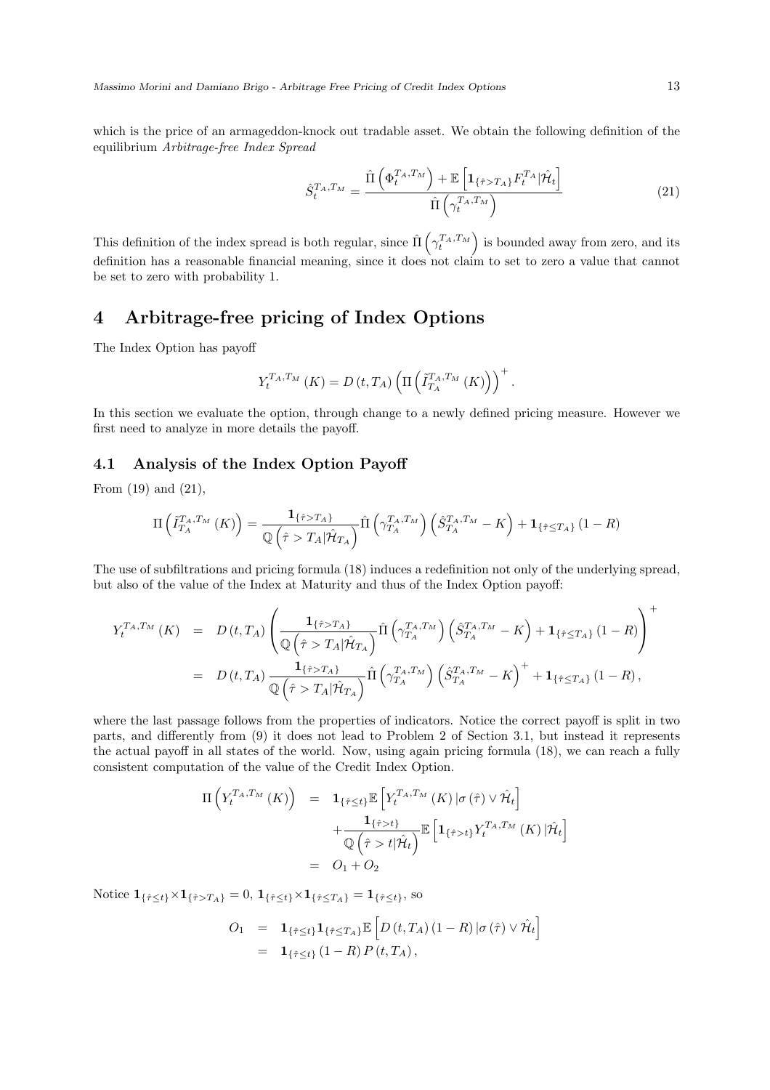which is the price of an armageddon-knock out tradable asset. We obtain the following definition of the equilibrium Arbitrage-free Index Spread

$$
\hat{S}_t^{T_A, T_M} = \frac{\hat{\Pi}\left(\Phi_t^{T_A, T_M}\right) + \mathbb{E}\left[\mathbf{1}_{\{\hat{\tau} > T_A\}} F_t^{T_A} | \hat{\mathcal{H}}_t\right]}{\hat{\Pi}\left(\gamma_t^{T_A, T_M}\right)}\tag{21}
$$

This definition of the index spread is both regular, since  $\hat{\Pi}$  $\overline{a}$  $\gamma^{T_A,T_M}_t$ ´ is bounded away from zero, and its definition has a reasonable financial meaning, since it does not claim to set to zero a value that cannot be set to zero with probability 1.

## 4 Arbitrage-free pricing of Index Options

The Index Option has payoff

$$
Y_t^{T_A,T_M}\left(K\right)=D\left(t,T_A\right)\left(\Pi\left(\tilde{I}_{T_A}^{T_A,T_M}\left(K\right)\right)\right)^+.
$$

In this section we evaluate the option, through change to a newly defined pricing measure. However we first need to analyze in more details the payoff.

#### 4.1 Analysis of the Index Option Payoff

From (19) and (21),

$$
\Pi\left(\tilde{I}_{T_A}^{T_A,T_M}(K)\right) = \frac{\mathbf{1}_{\{\hat{\tau} > T_A\}}}{\mathbb{Q}\left(\hat{\tau} > T_A|\hat{\mathcal{H}}_{T_A}\right)}\hat{\Pi}\left(\gamma_{T_A}^{T_A,T_M}\right)\left(\hat{S}_{T_A}^{T_A,T_M} - K\right) + \mathbf{1}_{\{\hat{\tau} \le T_A\}}\left(1 - R\right)
$$

The use of subfiltrations and pricing formula (18) induces a redefinition not only of the underlying spread, but also of the value of the Index at Maturity and thus of the Index Option payoff:

$$
Y_t^{T_A,T_M}(K) = D(t,T_A) \left( \frac{\mathbf{1}_{\{\hat{\tau} > T_A\}}}{\mathbb{Q}\left(\hat{\tau} > T_A | \hat{\mathcal{H}}_{T_A}\right)} \hat{\Pi}\left(\gamma_{T_A}^{T_A,T_M}\right) \left(\hat{S}_{T_A}^{T_A,T_M} - K\right) + \mathbf{1}_{\{\hat{\tau} \le T_A\}} (1 - R) \right)^{+}
$$
  
= 
$$
D(t,T_A) \frac{\mathbf{1}_{\{\hat{\tau} > T_A\}}}{\mathbb{Q}\left(\hat{\tau} > T_A | \hat{\mathcal{H}}_{T_A}\right)} \hat{\Pi}\left(\gamma_{T_A}^{T_A,T_M}\right) \left(\hat{S}_{T_A}^{T_A,T_M} - K\right)^{+} + \mathbf{1}_{\{\hat{\tau} \le T_A\}} (1 - R),
$$

where the last passage follows from the properties of indicators. Notice the correct payoff is split in two parts, and differently from (9) it does not lead to Problem 2 of Section 3.1, but instead it represents the actual payoff in all states of the world. Now, using again pricing formula (18), we can reach a fully consistent computation of the value of the Credit Index Option.

i

$$
\Pi\left(Y_t^{T_A, T_M}(K)\right) = \mathbf{1}_{\{\hat{\tau}\leq t\}} \mathbb{E}\left[Y_t^{T_A, T_M}(K) | \sigma(\hat{\tau}) \vee \hat{\mathcal{H}}_t\right] + \frac{\mathbf{1}_{\{\hat{\tau} > t\}}}{\mathbb{Q}\left(\hat{\tau} > t | \hat{\mathcal{H}}_t\right)} \mathbb{E}\left[\mathbf{1}_{\{\hat{\tau} > t\}} Y_t^{T_A, T_M}(K) | \hat{\mathcal{H}}_t\right] = O_1 + O_2
$$

Notice  $\mathbf{1}_{\{\hat{\tau}\leq t\}} \times \mathbf{1}_{\{\hat{\tau} > T_A\}} = 0$ ,  $\mathbf{1}_{\{\hat{\tau}\leq t\}} \times \mathbf{1}_{\{\hat{\tau} \leq T_A\}} = \mathbf{1}_{\{\hat{\tau} \leq t\}}$ , so

$$
O_1 = \mathbf{1}_{\{\hat{\tau} \le t\}} \mathbf{1}_{\{\hat{\tau} \le T_A\}} \mathbb{E} \left[ D(t, T_A) \left(1 - R\right) | \sigma(\hat{\tau}) \vee \hat{\mathcal{H}}_t \right]
$$
  
=  $\mathbf{1}_{\{\hat{\tau} \le t\}} \left(1 - R\right) P(t, T_A),$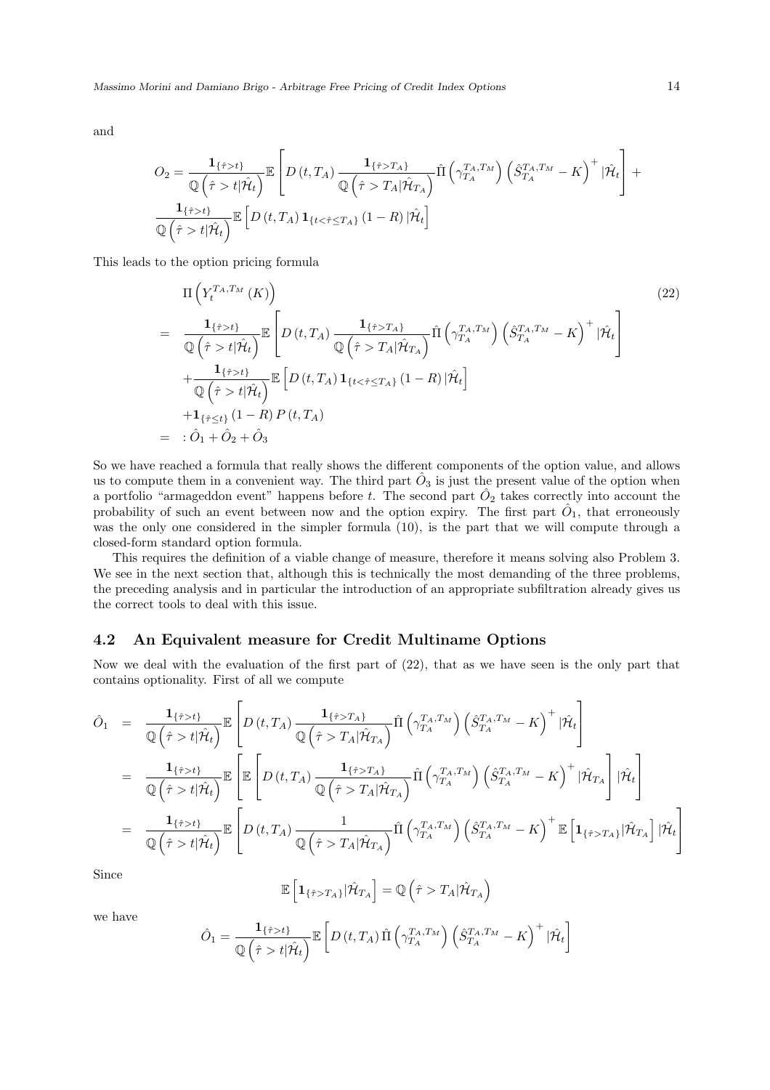and

$$
O_2 = \frac{\mathbf{1}_{\{\hat{\tau} > t\}}}{\mathbb{Q}\left(\hat{\tau} > t|\hat{\mathcal{H}}_t\right)} \mathbb{E}\left[D\left(t, T_A\right) \frac{\mathbf{1}_{\{\hat{\tau} > T_A\}}}{\mathbb{Q}\left(\hat{\tau} > T_A|\hat{\mathcal{H}}_{T_A}\right)} \hat{\Pi}\left(\gamma_{T_A}^{T_A, T_M}\right) \left(\hat{S}_{T_A}^{T_A, T_M} - K\right)^{+} |\hat{\mathcal{H}}_t\right] + \frac{\mathbf{1}_{\{\hat{\tau} > t\}}}{\mathbb{Q}\left(\hat{\tau} > t|\hat{\mathcal{H}}_t\right)} \mathbb{E}\left[D\left(t, T_A\right) \mathbf{1}_{\{t < \hat{\tau} \le T_A\}}\left(1 - R\right) |\hat{\mathcal{H}}_t\right]
$$

This leads to the option pricing formula

$$
\Pi\left(Y_t^{T_A, T_M}(K)\right)
$$
\n
$$
= \frac{\mathbf{1}_{\{\hat{\tau} > t\}}}{\mathbb{Q}\left(\hat{\tau} > t | \hat{\mathcal{H}}_t\right)} \mathbb{E}\left[D\left(t, T_A\right) \frac{\mathbf{1}_{\{\hat{\tau} > T_A\}}}{\mathbb{Q}\left(\hat{\tau} > T_A | \hat{\mathcal{H}}_{T_A}\right)} \hat{\Pi}\left(\gamma_{T_A}^{T_A, T_M}\right) \left(\hat{S}_{T_A}^{T_A, T_M} - K\right)^{+} | \hat{\mathcal{H}}_t\right]
$$
\n
$$
+ \frac{\mathbf{1}_{\{\hat{\tau} > t\}}}{\mathbb{Q}\left(\hat{\tau} > t | \hat{\mathcal{H}}_t\right)} \mathbb{E}\left[D\left(t, T_A\right) \mathbf{1}_{\{t < \hat{\tau} \le T_A\}}\left(1 - R\right) | \hat{\mathcal{H}}_t\right]
$$
\n
$$
+ \mathbf{1}_{\{\hat{\tau} \le t\}}\left(1 - R\right) P\left(t, T_A\right)
$$
\n
$$
= : \hat{O}_1 + \hat{O}_2 + \hat{O}_3
$$
\n(22)

So we have reached a formula that really shows the different components of the option value, and allows us to compute them in a convenient way. The third part  $\hat{O}_3$  is just the present value of the option when a portfolio "armageddon event" happens before t. The second part  $\hat{O}_2$  takes correctly into account the probability of such an event between now and the option expiry. The first part  $\hat{O}_1$ , that erroneously was the only one considered in the simpler formula (10), is the part that we will compute through a closed-form standard option formula.

This requires the definition of a viable change of measure, therefore it means solving also Problem 3. We see in the next section that, although this is technically the most demanding of the three problems, the preceding analysis and in particular the introduction of an appropriate subfiltration already gives us the correct tools to deal with this issue.

#### 4.2 An Equivalent measure for Credit Multiname Options

Now we deal with the evaluation of the first part of (22), that as we have seen is the only part that contains optionality. First of all we compute

$$
\hat{O}_{1} = \frac{\mathbf{1}_{\{\hat{\tau} > t\}}}{\mathbb{Q}\left(\hat{\tau} > t|\hat{\mathcal{H}}_{t}\right)} \mathbb{E}\left[D\left(t, T_{A}\right) \frac{\mathbf{1}_{\{\hat{\tau} > T_{A}\}}}{\mathbb{Q}\left(\hat{\tau} > T_{A}|\hat{\mathcal{H}}_{T_{A}}\right)} \hat{\Pi}\left(\gamma_{T_{A}}^{T_{A}, T_{M}}\right) \left(\hat{S}_{T_{A}}^{T_{A}, T_{M}} - K\right)^{+} |\hat{\mathcal{H}}_{t}\right] \n= \frac{\mathbf{1}_{\{\hat{\tau} > t\}}}{\mathbb{Q}\left(\hat{\tau} > t|\hat{\mathcal{H}}_{t}\right)} \mathbb{E}\left[\mathbb{E}\left[D\left(t, T_{A}\right) \frac{\mathbf{1}_{\{\hat{\tau} > T_{A}\}}}{\mathbb{Q}\left(\hat{\tau} > T_{A}|\hat{\mathcal{H}}_{T_{A}}\right)} \hat{\Pi}\left(\gamma_{T_{A}}^{T_{A}, T_{M}}\right) \left(\hat{S}_{T_{A}}^{T_{A}, T_{M}} - K\right)^{+} |\hat{\mathcal{H}}_{T_{A}}\right] |\hat{\mathcal{H}}_{t}\right] \n= \frac{\mathbf{1}_{\{\hat{\tau} > t\}}}{\mathbb{Q}\left(\hat{\tau} > t|\hat{\mathcal{H}}_{t}\right)} \mathbb{E}\left[D\left(t, T_{A}\right) \frac{\mathbf{1}}{\mathbb{Q}\left(\hat{\tau} > T_{A}|\hat{\mathcal{H}}_{T_{A}}\right)} \hat{\Pi}\left(\gamma_{T_{A}}^{T_{A}, T_{M}}\right) \left(\hat{S}_{T_{A}}^{T_{A}, T_{M}} - K\right)^{+} \mathbb{E}\left[\mathbf{1}_{\{\hat{\tau} > T_{A}\}} |\hat{\mathcal{H}}_{T_{A}}\right] |\hat{\mathcal{H}}_{t}\right] \n= \frac{\mathbb{Q}\left(\hat{\tau} > t|\hat{\mathcal{H}}_{t}\right)}{\mathbb{Q}\left(\hat{\tau} > T_{A}|\hat{\mathcal{H}}_{T_{A}}\right)} \hat{\Pi}\left(\gamma_{T_{A}}^{T_{A}, T_{M}}\right) \left(\hat{S}_{T_{A}}^{T_{A}, T_{M}} - K\right)^{+} \mathbb{E}\left[\mathbf{1}_{\{\hat{\tau}
$$

Since

$$
\mathbb{E}\left[\mathbf{1}_{\{\hat{\tau} > T_A\}}|\hat{\mathcal{H}}_{T_A}\right] = \mathbb{Q}\left(\hat{\tau} > T_A|\hat{\mathcal{H}}_{T_A}\right)
$$

we have

$$
\hat{O}_1 = \frac{\mathbf{1}_{\{\hat{\tau} > t\}}}{\mathbb{Q}\left(\hat{\tau} > t | \hat{\mathcal{H}}_t\right)} \mathbb{E}\left[D\left(t, T_A\right) \hat{\Pi}\left(\gamma_{T_A}^{T_A, T_M}\right) \left(\hat{S}_{T_A}^{T_A, T_M} - K\right)^+ | \hat{\mathcal{H}}_t\right]
$$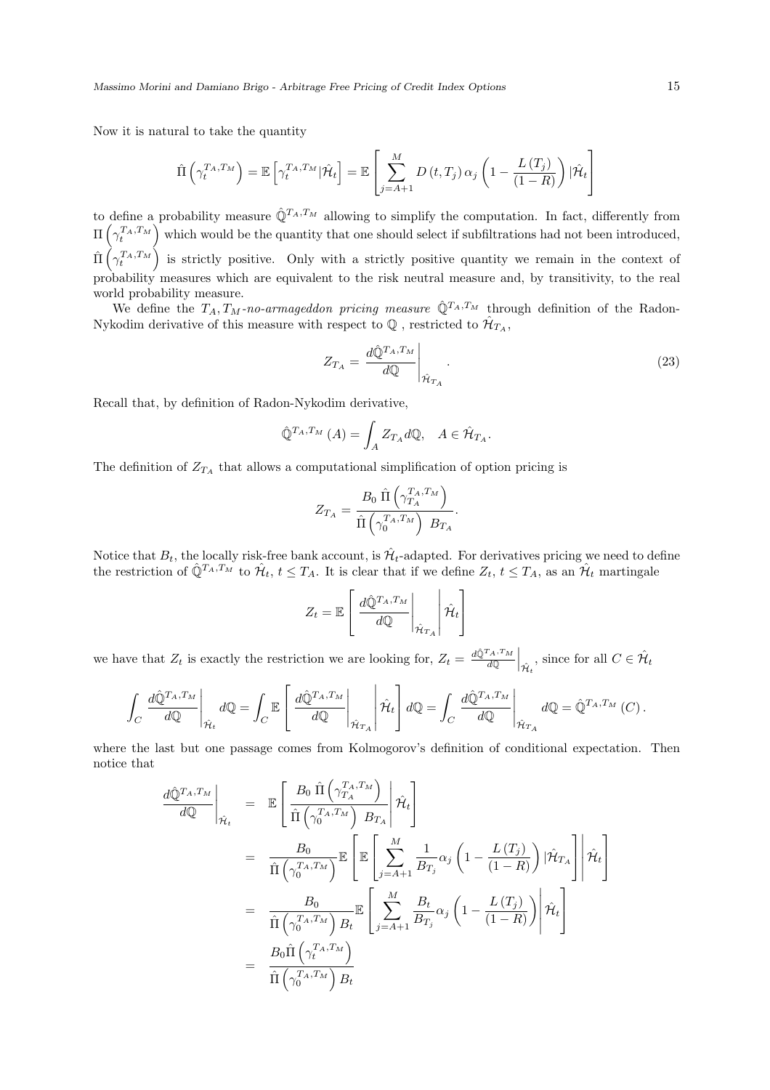Now it is natural to take the quantity

$$
\hat{\Pi}\left(\gamma_t^{T_A,T_M}\right) = \mathbb{E}\left[\gamma_t^{T_A,T_M}|\hat{\mathcal{H}}_t\right] = \mathbb{E}\left[\sum_{j=A+1}^M D\left(t,T_j\right)\alpha_j\left(1-\frac{L\left(T_j\right)}{\left(1-R\right)}\right)|\hat{\mathcal{H}}_t\right]
$$

to define a probability measure  $\hat{\mathbb{Q}}^{T_A,T_M}$  allowing to simplify the computation. In fact, differently from  $\Pi\left(\gamma_t^{T_A,T_M}\right)$  which would be the quantity that one should select if subfiltrations had not been introduced,  $\hat{\Pi}\left(\gamma_t^{T_A,T_M}\right)$  is strictly positive. Only with a strictly positive quantity we remain in the context of probability measures which are equivalent to the risk neutral measure and, by transitivity, to the real world probability measure.

We define the  $T_A, T_M$ -no-armageddon pricing measure  $\hat{Q}^{T_A, T_M}$  through definition of the Radon-Nykodim derivative of this measure with respect to  $\mathbb{Q}$ , restricted to  $\hat{\mathcal{H}}_{T_A}$ ,

$$
Z_{T_A} = \left. \frac{d\hat{\mathbb{Q}}^{T_A, T_M}}{d\mathbb{Q}} \right|_{\hat{\mathcal{H}}_{T_A}}.
$$
\n
$$
(23)
$$

Recall that, by definition of Radon-Nykodim derivative,

$$
\hat{\mathbb{Q}}^{T_A,T_M}(A) = \int_A Z_{T_A} d\mathbb{Q}, \quad A \in \hat{\mathcal{H}}_{T_A}.
$$

The definition of  $Z_{T_A}$  that allows a computational simplification of option pricing is

$$
Z_{T_A} = \frac{B_0 \prod \left(\gamma_{T_A}^{T_A, T_M}\right)}{\prod \left(\gamma_0^{T_A, T_M}\right) B_{T_A}}.
$$

Notice that  $B_t$ , the locally risk-free bank account, is  $\hat{\mathcal{H}}_t$ -adapted. For derivatives pricing we need to define the restriction of  $\hat{\mathbb{Q}}^{T_A,T_M}$  to  $\hat{\mathcal{H}}_t, t \leq T_A$ . It is clear that if we define  $Z_t, t \leq T_A$ , as an  $\hat{\mathcal{H}}_t$  martingale

$$
Z_t = \mathbb{E}\left[\left.\frac{d\hat{\mathbb{Q}}^{T_A,T_M}}{d\mathbb{Q}}\right|_{\hat{\mathcal{H}}_{T_A}}\right|\hat{\mathcal{H}}_t\right]
$$

we have that  $Z_t$  is exactly the restriction we are looking for,  $Z_t = \frac{d\hat{\mathbb{Q}}^{T_A, T_M}}{d\mathbb{Q}}$  $\Big|_{\hat{\mathcal{H}}_t}$ , since for all  $C \in \hat{\mathcal{H}}_t$  $\overline{a}$ ¯  $\overline{a}$ 

$$
\int_C \left. \frac{d\hat{\mathbb{Q}}^{T_A, T_M}}{d\mathbb{Q}} \right|_{\hat{\mathcal{H}}_t} d\mathbb{Q} = \int_C \mathbb{E}\left[\left. \frac{d\hat{\mathbb{Q}}^{T_A, T_M}}{d\mathbb{Q}} \right|_{\hat{\mathcal{H}}_{T_A}} \right| \hat{\mathcal{H}}_t \right] d\mathbb{Q} = \int_C \left. \frac{d\hat{\mathbb{Q}}^{T_A, T_M}}{d\mathbb{Q}} \right|_{\hat{\mathcal{H}}_{T_A}} d\mathbb{Q} = \hat{\mathbb{Q}}^{T_A, T_M} (C) .
$$

where the last but one passage comes from Kolmogorov's definition of conditional expectation. Then notice that

$$
\frac{d\hat{\mathbb{Q}}^{T_A,T_M}}{d\mathbb{Q}}\Big|_{\hat{\mathcal{H}}_t} = \mathbb{E}\left[\frac{B_0 \hat{\Pi}\left(\gamma_{T_A}^{T_A,T_M}\right)}{\hat{\Pi}\left(\gamma_0^{T_A,T_M}\right) B_{T_A}}\Bigg|\hat{\mathcal{H}}_t\right]
$$
\n
$$
= \frac{B_0}{\hat{\Pi}\left(\gamma_0^{T_A,T_M}\right)} \mathbb{E}\left[\mathbb{E}\left[\sum_{j=A+1}^M \frac{1}{B_{T_j}} \alpha_j \left(1 - \frac{L(T_j)}{(1-R)}\right) \Big|\hat{\mathcal{H}}_{T_A}\right] \Bigg|\hat{\mathcal{H}}_t\right]
$$
\n
$$
= \frac{B_0}{\hat{\Pi}\left(\gamma_0^{T_A,T_M}\right) B_t} \mathbb{E}\left[\sum_{j=A+1}^M \frac{B_t}{B_{T_j}} \alpha_j \left(1 - \frac{L(T_j)}{(1-R)}\right) \Bigg|\hat{\mathcal{H}}_t\right]
$$
\n
$$
= \frac{B_0 \hat{\Pi}\left(\gamma_t^{T_A,T_M}\right)}{\hat{\Pi}\left(\gamma_0^{T_A,T_M}\right) B_t}
$$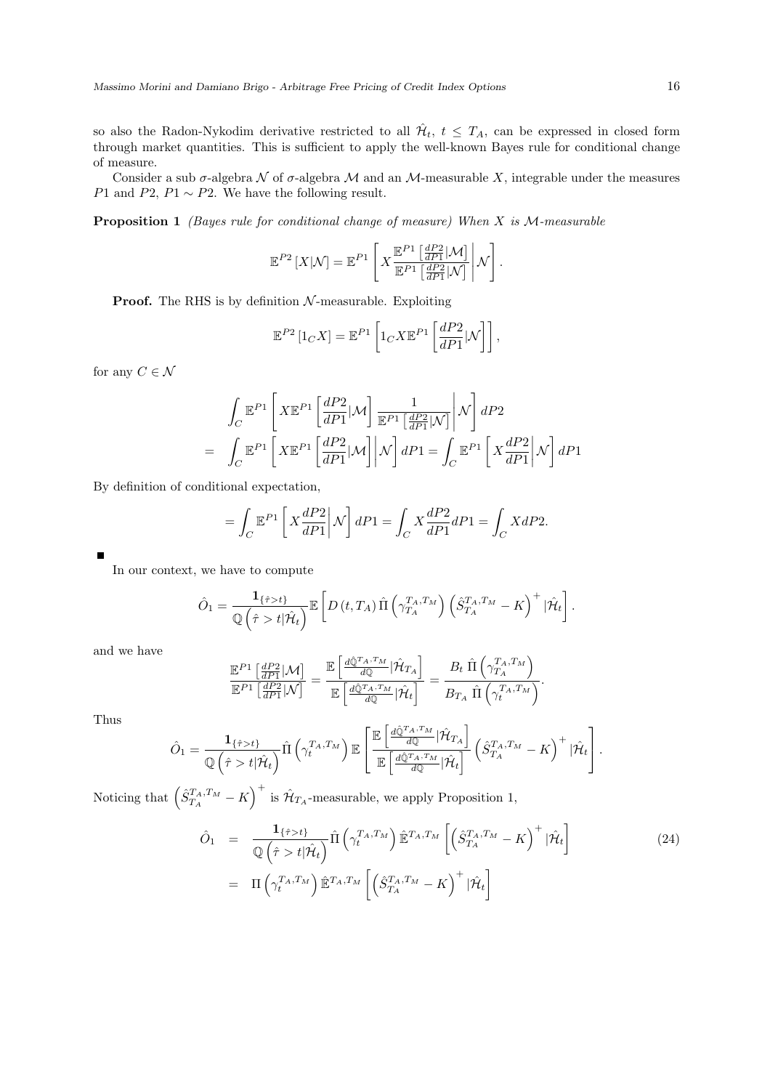so also the Radon-Nykodim derivative restricted to all  $\hat{\mathcal{H}}_t$ ,  $t \leq T_A$ , can be expressed in closed form through market quantities. This is sufficient to apply the well-known Bayes rule for conditional change of measure.

Consider a sub  $\sigma$ -algebra  $\mathcal N$  of  $\sigma$ -algebra  $\mathcal M$  and an  $\mathcal M$ -measurable X, integrable under the measures P1 and P2,  $P1 \sim P2$ . We have the following result.

**Proposition 1** (Bayes rule for conditional change of measure) When  $X$  is  $M$ -measurable

$$
\mathbb{E}^{P2}\left[X|\mathcal{N}\right] = \mathbb{E}^{P1}\left[X\frac{\mathbb{E}^{P1}\left[\frac{dP2}{dP1}|\mathcal{M}\right]}{\mathbb{E}^{P1}\left[\frac{dP2}{dP1}|\mathcal{N}\right]}\right|\mathcal{N}\right].
$$

**Proof.** The RHS is by definition  $\mathcal{N}$ -measurable. Exploiting

$$
\mathbb{E}^{P2}\left[1_C X\right] = \mathbb{E}^{P1}\left[1_C X \mathbb{E}^{P1}\left[\frac{dP2}{dP1}|\mathcal{N}\right]\right],
$$

for any  $C\in\mathcal{N}$ 

$$
\int_C \mathbb{E}^{P1}\left[X\mathbb{E}^{P1}\left[\frac{dP2}{dP1}|\mathcal{M}\right]\frac{1}{\mathbb{E}^{P1}\left[\frac{dP2}{dP1}|\mathcal{N}\right]}\middle|\mathcal{N}\right]dP2
$$
\n
$$
=\int_C \mathbb{E}^{P1}\left[X\mathbb{E}^{P1}\left[\frac{dP2}{dP1}|\mathcal{M}\right]\middle|\mathcal{N}\right]dP1 = \int_C \mathbb{E}^{P1}\left[X\frac{dP2}{dP1}|\mathcal{N}\right]dP1
$$

By definition of conditional expectation,

$$
= \int_C \mathbb{E}^{P1} \left[ X \frac{dP2}{dP1} \middle| \mathcal{N} \right] dP1 = \int_C X \frac{dP2}{dP1} dP1 = \int_C X dP2.
$$

In our context, we have to compute

$$
\hat{O}_1 = \frac{\mathbf{1}_{\{\hat{\tau} > t\}}}{\mathbb{Q}\left(\hat{\tau} > t | \hat{\mathcal{H}}_t\right)} \mathbb{E}\left[D\left(t, T_A\right) \hat{\Pi}\left(\gamma_{T_A}^{T_A, T_M}\right) \left(\hat{S}_{T_A}^{T_A, T_M} - K\right)^+ | \hat{\mathcal{H}}_t\right].
$$

and we have

$$
\frac{\mathbb{E}^{P1}\left[\frac{dP2}{dP1}|\mathcal{M}\right]}{\mathbb{E}^{P1}\left[\frac{dP2}{dP1}|\mathcal{N}\right]} = \frac{\mathbb{E}\left[\frac{d\hat{\mathbb{Q}}^{T_A,T_M}}{d\mathbb{Q}}|\hat{\mathcal{H}}_{T_A}\right]}{\mathbb{E}\left[\frac{d\hat{\mathbb{Q}}^{T_A,T_M}}{d\mathbb{Q}}|\hat{\mathcal{H}}_t\right]} = \frac{B_t\;\hat{\Pi}\left(\gamma_{T_A}^{T_A,T_M}\right)}{B_{T_A}\;\hat{\Pi}\left(\gamma_{t}^{T_A,T_M}\right)}.
$$

Thus

$$
\hat{O}_1 = \frac{\mathbf{1}_{\{\hat{\tau} > t\}}}{\mathbb{Q}\left(\hat{\tau} > t | \hat{\mathcal{H}}_t\right)} \hat{\Pi}\left(\gamma_t^{T_A, T_M}\right) \mathbb{E}\left[\frac{\mathbb{E}\left[\frac{d\hat{\mathbb{Q}}^{T_A, T_M}}{d\mathbb{Q}} | \hat{\mathcal{H}}_{T_A}\right]}{\mathbb{E}\left[\frac{d\hat{\mathbb{Q}}^{T_A, T_M}}{d\mathbb{Q}} | \hat{\mathcal{H}}_t\right]} \left(\hat{S}_{T_A}^{T_A, T_M} - K\right)^{+} | \hat{\mathcal{H}}_t\right].
$$

Noticing that  $\left(\hat{S}^{T_A,T_M}_{T_A}-K\right)$ is  $\hat{\mathcal{H}}_{T_A}$ -measurable, we apply Proposition 1,

$$
\hat{O}_1 = \frac{\mathbf{1}_{\{\hat{\tau} > t\}}}{\mathbb{Q}\left(\hat{\tau} > t | \hat{\mathcal{H}}_t\right)} \hat{\Pi}\left(\gamma_t^{T_A, T_M}\right) \hat{\mathbb{E}}^{T_A, T_M} \left[\left(\hat{S}_{T_A}^{T_A, T_M} - K\right)^+ | \hat{\mathcal{H}}_t\right]
$$
\n
$$
= \Pi\left(\gamma_t^{T_A, T_M}\right) \hat{\mathbb{E}}^{T_A, T_M} \left[\left(\hat{S}_{T_A}^{T_A, T_M} - K\right)^+ | \hat{\mathcal{H}}_t\right]
$$
\n(24)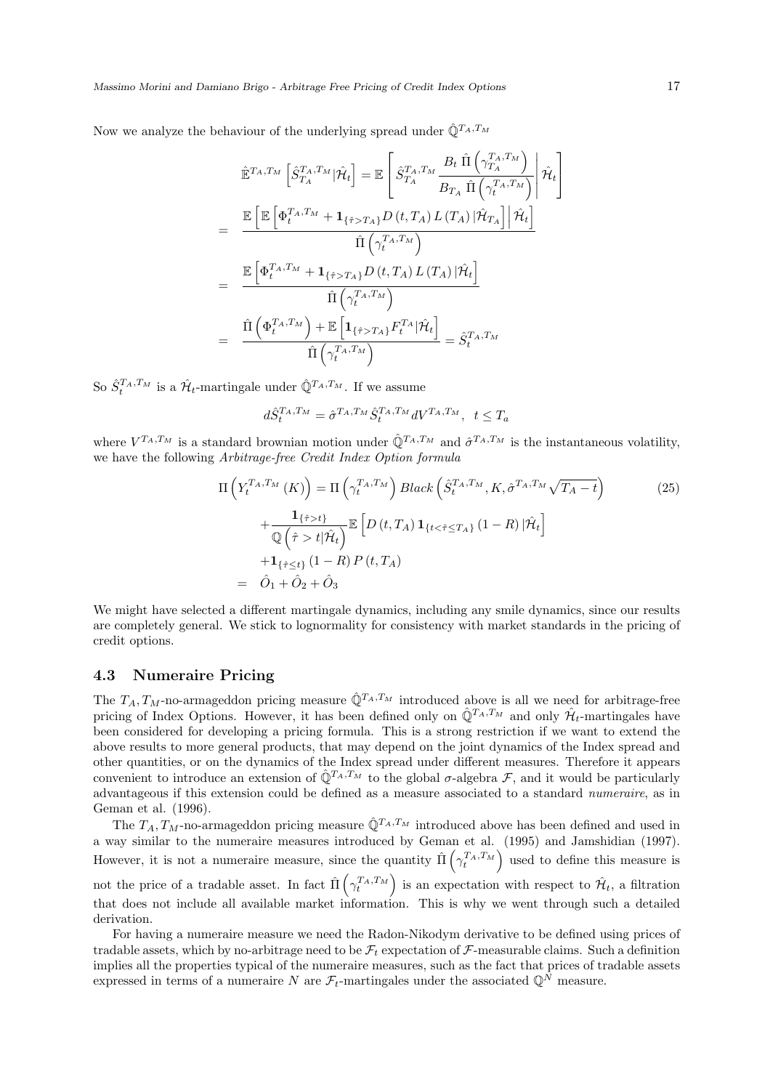Now we analyze the behaviour of the underlying spread under  $\hat{\mathbb{Q}}^{T_A,T_M}$ 

$$
\hat{\mathbb{E}}^{T_A, T_M} \left[ \hat{S}_{T_A}^{T_A, T_M} | \hat{\mathcal{H}}_t \right] = \mathbb{E} \left[ \hat{S}_{T_A}^{T_A, T_M} \frac{B_t \hat{\Pi} \left( \gamma_{T_A}^{T_A, T_M} \right)}{B_{T_A} \hat{\Pi} \left( \gamma_t^{T_A, T_M} \right)} \middle| \hat{\mathcal{H}}_t \right]
$$
\n
$$
= \frac{\mathbb{E} \left[ \mathbb{E} \left[ \Phi_t^{T_A, T_M} + \mathbf{1}_{\{\hat{\tau} > T_A\}} D(t, T_A) L(T_A) | \hat{\mathcal{H}}_{T_A} \right] \middle| \hat{\mathcal{H}}_t \right]}{\hat{\Pi} \left( \gamma_t^{T_A, T_M} \right)}
$$
\n
$$
= \frac{\mathbb{E} \left[ \Phi_t^{T_A, T_M} + \mathbf{1}_{\{\hat{\tau} > T_A\}} D(t, T_A) L(T_A) | \hat{\mathcal{H}}_t \right]}{\hat{\Pi} \left( \gamma_t^{T_A, T_M} \right)}
$$
\n
$$
= \frac{\hat{\Pi} \left( \Phi_t^{T_A, T_M} \right) + \mathbb{E} \left[ \mathbf{1}_{\{\hat{\tau} > T_A\}} F_t^{T_A} | \hat{\mathcal{H}}_t \right]}{\hat{\Pi} \left( \gamma_t^{T_A, T_M} \right)} = \hat{S}_t^{T_A, T_M}
$$

So  $\hat{S}_t^{T_A, T_M}$  is a  $\hat{\mathcal{H}}_t$ -martingale under  $\hat{\mathbb{Q}}^{T_A, T_M}$ . If we assume

$$
d\hat{S}^{T_A,T_M}_t=\hat{\sigma}^{T_A,T_M}\hat{S}^{T_A,T_M}_tdV^{T_A,T_M},\;\;t\leq T_a
$$

where  $V^{T_A,T_M}$  is a standard brownian motion under  $\hat{\mathbb{Q}}^{T_A,T_M}$  and  $\hat{\sigma}^{T_A,T_M}$  is the instantaneous volatility, we have the following Arbitrage-free Credit Index Option formula

$$
\Pi\left(Y_t^{T_A, T_M}(K)\right) = \Pi\left(\gamma_t^{T_A, T_M}\right) Black\left(\hat{S}_t^{T_A, T_M}, K, \hat{\sigma}^{T_A, T_M}\sqrt{T_A - t}\right) \tag{25}
$$
\n
$$
+ \frac{\mathbf{1}_{\{\hat{\tau} > t\}}}{\mathbb{Q}\left(\hat{\tau} > t|\hat{\mathcal{H}}_t\right)} \mathbb{E}\left[D\left(t, T_A\right) \mathbf{1}_{\{t < \hat{\tau} \le T_A\}}\left(1 - R\right)|\hat{\mathcal{H}}_t\right]
$$
\n
$$
+ \mathbf{1}_{\{\hat{\tau} \le t\}}\left(1 - R\right) P\left(t, T_A\right)
$$
\n
$$
= \hat{O}_1 + \hat{O}_2 + \hat{O}_3
$$

We might have selected a different martingale dynamics, including any smile dynamics, since our results are completely general. We stick to lognormality for consistency with market standards in the pricing of credit options.

#### 4.3 Numeraire Pricing

The  $T_A, T_M$ -no-armageddon pricing measure  $\hat{\mathbb{Q}}^{T_A, T_M}$  introduced above is all we need for arbitrage-free pricing of Index Options. However, it has been defined only on  $\hat{\mathbb{Q}}^{T_A,T_M}$  and only  $\hat{\mathcal{H}}_t$ -martingales have been considered for developing a pricing formula. This is a strong restriction if we want to extend the above results to more general products, that may depend on the joint dynamics of the Index spread and other quantities, or on the dynamics of the Index spread under different measures. Therefore it appears convenient to introduce an extension of  $\hat{\mathbb{Q}}^{T_A,T_M}$  to the global  $\sigma$ -algebra  $\mathcal{F}$ , and it would be particularly advantageous if this extension could be defined as a measure associated to a standard numeraire, as in Geman et al. (1996).

The  $T_A, T_M$ -no-armageddon pricing measure  $\hat{\mathbb{Q}}^{T_A, T_M}$  introduced above has been defined and used in a way similar to the numeraire measures introduced by Geman et al.  $(1995)$  and Jamshidian (1997). However, it is not a numeraire measure, since the quantity  $\hat{\Pi} \left( \gamma_t^{T_A, T_M} \right)$  used to define this measure is

not the price of a tradable asset. In fact  $\hat{\Pi} \left( \gamma_t^{T_A, T_M} \right)$  is an expectation with respect to  $\hat{\mathcal{H}}_t$ , a filtration that does not include all available market information. This is why we went through such a detailed derivation.

For having a numeraire measure we need the Radon-Nikodym derivative to be defined using prices of tradable assets, which by no-arbitrage need to be  $\mathcal{F}_t$  expectation of  $\mathcal{F}_t$ -measurable claims. Such a definition implies all the properties typical of the numeraire measures, such as the fact that prices of tradable assets expressed in terms of a numeraire N are  $\mathcal{F}_t$ -martingales under the associated  $\mathbb{Q}^N$  measure.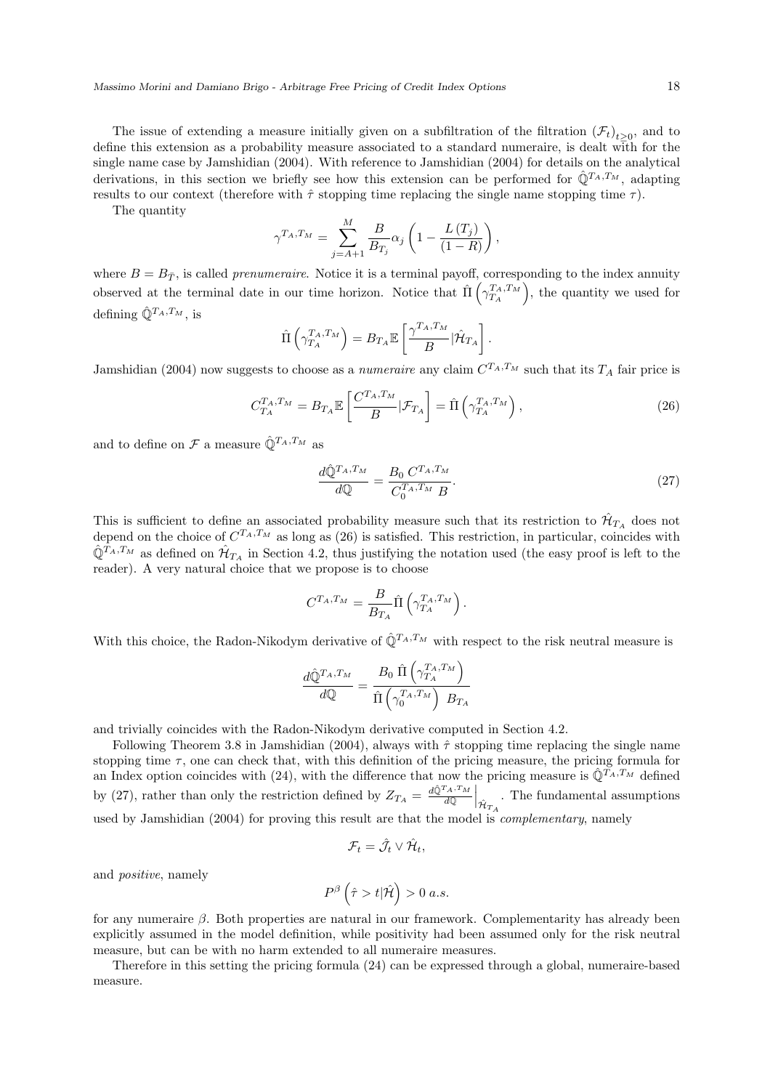The issue of extending a measure initially given on a subfiltration of the filtration  $(\mathcal{F}_t)_{t\geq 0}$ , and to define this extension as a probability measure associated to a standard numeraire, is dealt with for the single name case by Jamshidian (2004). With reference to Jamshidian (2004) for details on the analytical derivations, in this section we briefly see how this extension can be performed for  $\hat{\mathbb{O}}^{T_A,T_M}$ , adapting results to our context (therefore with  $\hat{\tau}$  stopping time replacing the single name stopping time  $\tau$ ).

The quantity

$$
\gamma^{T_A, T_M} = \sum_{j=A+1}^{M} \frac{B}{B_{T_j}} \alpha_j \left( 1 - \frac{L(T_j)}{(1-R)} \right),
$$

where  $B = B_{\bar{T}}$ , is called *prenumeraire*. Notice it is a terminal payoff, corresponding to the index annuity observed at the terminal date in our time horizon. Notice that  $\hat{\Pi} \left( \gamma_{T_A}^{T_A, T_M} \right)$ , the quantity we used for defining  $\hat{\mathbb{Q}}^{T_A,T_M}$ , is ·  $\overline{a}$ 

$$
\widehat{\Pi}\left(\gamma_{T_A}^{T_A,T_M}\right) = B_{T_A}\mathbb{E}\left[\frac{\gamma^{T_A,T_M}}{B}|\hat{\mathcal{H}}_{T_A}\right].
$$

Jamshidian (2004) now suggests to choose as a numeraire any claim  $C^{T_A,T_M}$  such that its  $T_A$  fair price is

$$
C_{T_A}^{T_A, T_M} = B_{T_A} \mathbb{E} \left[ \frac{C^{T_A, T_M}}{B} | \mathcal{F}_{T_A} \right] = \hat{\Pi} \left( \gamma_{T_A}^{T_A, T_M} \right), \tag{26}
$$

and to define on  $\mathcal F$  a measure  $\hat{\mathbb Q}^{T_A,T_M}$  as

$$
\frac{d\hat{\mathbb{Q}}^{T_A,T_M}}{d\mathbb{Q}} = \frac{B_0 C^{T_A,T_M}}{C_0^{T_A,T_M} B}.\tag{27}
$$

This is sufficient to define an associated probability measure such that its restriction to  $\hat{\mathcal{H}}_{T_A}$  does not depend on the choice of  $C^{T_A,T_M}$  as long as (26) is satisfied. This restriction, in particular, coincides with  $\hat{\mathbb{Q}}^{T_A,T_M}$  as defined on  $\hat{\mathcal{H}}_{T_A}$  in Section 4.2, thus justifying the notation used (the easy proof is left to the reader). A very natural choice that we propose is to choose

$$
C^{T_A,T_M} = \frac{B}{B_{T_A}} \hat{\Pi} \left( \gamma_{T_A}^{T_A,T_M} \right).
$$

With this choice, the Radon-Nikodym derivative of  $\hat{\mathbb{Q}}^{T_A,T_M}$  with respect to the risk neutral measure is

$$
\frac{d\hat{\mathbb{Q}}^{T_A,T_M}}{d\mathbb{Q}} = \frac{B_0 \hat{\Pi} \left( \gamma_{T_A}^{T_A,T_M} \right)}{\hat{\Pi} \left( \gamma_0^{T_A,T_M} \right) B_{T_A}}
$$

and trivially coincides with the Radon-Nikodym derivative computed in Section 4.2.

Following Theorem 3.8 in Jamshidian (2004), always with  $\hat{\tau}$  stopping time replacing the single name stopping time  $\tau$ , one can check that, with this definition of the pricing measure, the pricing formula for an Index option coincides with (24), with the difference that now the pricing measure is  $\hat{\mathbb{Q}}^{T_A,T_M}$  defined by (27), rather than only the restriction defined by  $Z_{T_A} = \frac{d\hat{\mathbb{Q}}^{T_A, T_M}}{d\mathbb{Q}}$ Let pricing measure is  $\mathbb{Q}^{AA}$ ,  $\mathbb{Z}^{AA}$  defined<br> $\Big|_{\hat{\mathcal{H}}_{T_A}}$ . The fundamental assumptions used by Jamshidian (2004) for proving this result are that the model is *complementary*, namely

$$
\mathcal{F}_t = \hat{\mathcal{J}}_t \vee \hat{\mathcal{H}}_t,
$$

and positive, namely

$$
P^{\beta}\left(\hat{\tau} > t|\hat{\mathcal{H}}\right) > 0 \ a.s.
$$

for any numeraire  $\beta$ . Both properties are natural in our framework. Complementarity has already been explicitly assumed in the model definition, while positivity had been assumed only for the risk neutral measure, but can be with no harm extended to all numeraire measures.

Therefore in this setting the pricing formula (24) can be expressed through a global, numeraire-based measure.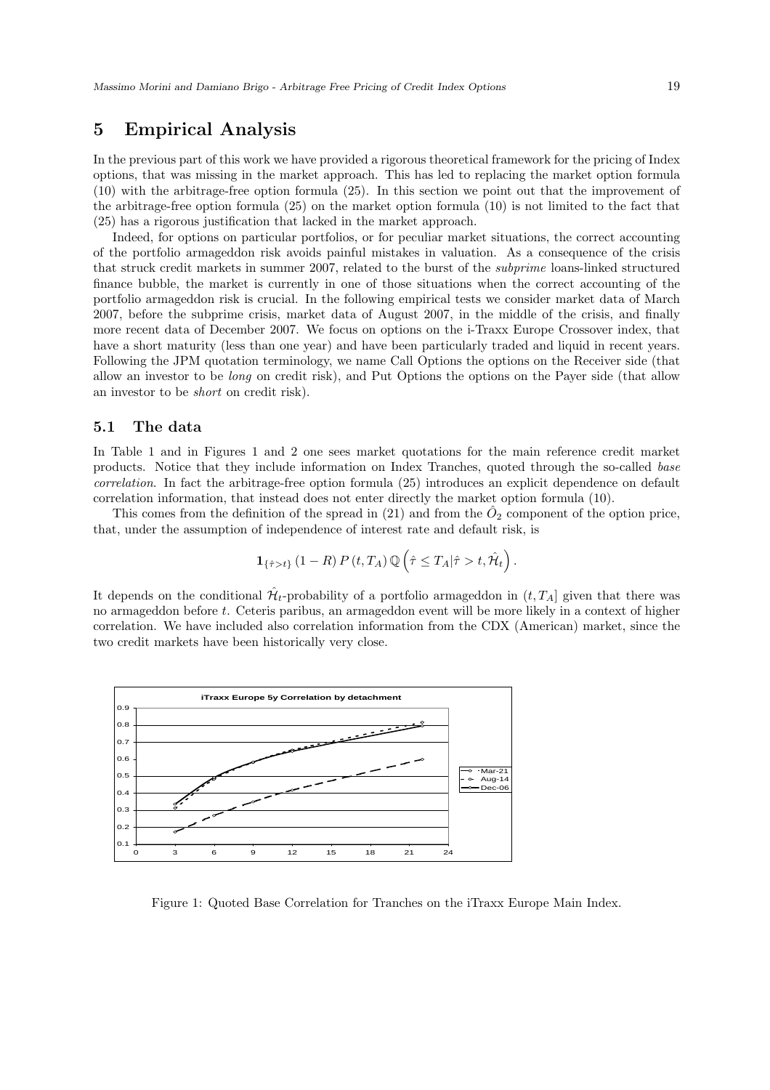## 5 Empirical Analysis

In the previous part of this work we have provided a rigorous theoretical framework for the pricing of Index options, that was missing in the market approach. This has led to replacing the market option formula (10) with the arbitrage-free option formula (25). In this section we point out that the improvement of the arbitrage-free option formula (25) on the market option formula (10) is not limited to the fact that (25) has a rigorous justification that lacked in the market approach.

Indeed, for options on particular portfolios, or for peculiar market situations, the correct accounting of the portfolio armageddon risk avoids painful mistakes in valuation. As a consequence of the crisis that struck credit markets in summer 2007, related to the burst of the subprime loans-linked structured finance bubble, the market is currently in one of those situations when the correct accounting of the portfolio armageddon risk is crucial. In the following empirical tests we consider market data of March 2007, before the subprime crisis, market data of August 2007, in the middle of the crisis, and finally more recent data of December 2007. We focus on options on the i-Traxx Europe Crossover index, that have a short maturity (less than one year) and have been particularly traded and liquid in recent years. Following the JPM quotation terminology, we name Call Options the options on the Receiver side (that allow an investor to be long on credit risk), and Put Options the options on the Payer side (that allow an investor to be short on credit risk).

#### 5.1 The data

In Table 1 and in Figures 1 and 2 one sees market quotations for the main reference credit market products. Notice that they include information on Index Tranches, quoted through the so-called base correlation. In fact the arbitrage-free option formula (25) introduces an explicit dependence on default correlation information, that instead does not enter directly the market option formula (10).

This comes from the definition of the spread in (21) and from the  $\hat{O}_2$  component of the option price, that, under the assumption of independence of interest rate and default risk, is

$$
\mathbf{1}_{\{\hat{\tau}>t\}}\left(1-R\right)P\left(t,T_A\right)\mathbb{Q}\left(\hat{\tau}\leq T_A|\hat{\tau}>t,\hat{\mathcal{H}}_t\right).
$$

It depends on the conditional  $\hat{\mathcal{H}}_t$ -probability of a portfolio armageddon in  $(t, T_A]$  given that there was no armageddon before t. Ceteris paribus, an armageddon event will be more likely in a context of higher correlation. We have included also correlation information from the CDX (American) market, since the two credit markets have been historically very close.



Figure 1: Quoted Base Correlation for Tranches on the iTraxx Europe Main Index.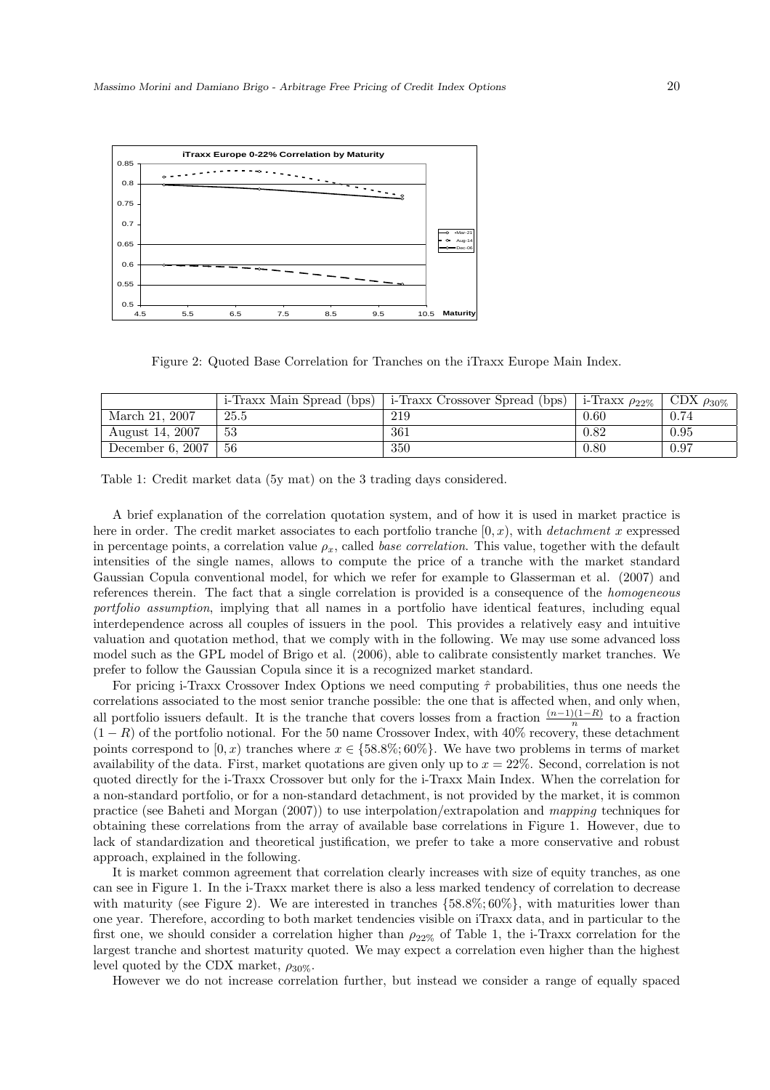

Figure 2: Quoted Base Correlation for Tranches on the iTraxx Europe Main Index.

|                    | i-Traxx Main Spread (bps) | $\vert$ i-Traxx Crossover Spread (bps) | i-Traxx $\rho_{22\%}$ | CDX $\rho_{30\%}$ |
|--------------------|---------------------------|----------------------------------------|-----------------------|-------------------|
| March 21, 2007     | 25.5                      | 219                                    | 0.60                  | 0.74              |
| August 14, 2007    | 53                        | 361                                    | 0.82                  | 0.95              |
| December 6, $2007$ | -56                       | 350                                    | 0.80                  | 0.97              |

Table 1: Credit market data (5y mat) on the 3 trading days considered.

A brief explanation of the correlation quotation system, and of how it is used in market practice is here in order. The credit market associates to each portfolio tranche  $[0, x)$ , with *detachment* x expressed in percentage points, a correlation value  $\rho_x$ , called *base correlation*. This value, together with the default intensities of the single names, allows to compute the price of a tranche with the market standard Gaussian Copula conventional model, for which we refer for example to Glasserman et al. (2007) and references therein. The fact that a single correlation is provided is a consequence of the homogeneous portfolio assumption, implying that all names in a portfolio have identical features, including equal interdependence across all couples of issuers in the pool. This provides a relatively easy and intuitive valuation and quotation method, that we comply with in the following. We may use some advanced loss model such as the GPL model of Brigo et al. (2006), able to calibrate consistently market tranches. We prefer to follow the Gaussian Copula since it is a recognized market standard.

For pricing i-Traxx Crossover Index Options we need computing  $\hat{\tau}$  probabilities, thus one needs the correlations associated to the most senior tranche possible: the one that is affected when, and only when, all portfolio issuers default. It is the tranche that covers losses from a fraction  $\frac{(n-1)(1-R)}{n}$  to a fraction  $(1 - R)$  of the portfolio notional. For the 50 name Crossover Index, with 40% recovery, these detachment points correspond to  $[0, x)$  tranches where  $x \in \{58.8\%, 60\% \}$ . We have two problems in terms of market availability of the data. First, market quotations are given only up to  $x = 22\%$ . Second, correlation is not quoted directly for the i-Traxx Crossover but only for the i-Traxx Main Index. When the correlation for a non-standard portfolio, or for a non-standard detachment, is not provided by the market, it is common practice (see Baheti and Morgan (2007)) to use interpolation/extrapolation and mapping techniques for obtaining these correlations from the array of available base correlations in Figure 1. However, due to lack of standardization and theoretical justification, we prefer to take a more conservative and robust approach, explained in the following.

It is market common agreement that correlation clearly increases with size of equity tranches, as one can see in Figure 1. In the i-Traxx market there is also a less marked tendency of correlation to decrease with maturity (see Figure 2). We are interested in tranches  $\{58.8\%, 60\% \}$ , with maturities lower than one year. Therefore, according to both market tendencies visible on iTraxx data, and in particular to the first one, we should consider a correlation higher than  $\rho_{22\%}$  of Table 1, the i-Traxx correlation for the largest tranche and shortest maturity quoted. We may expect a correlation even higher than the highest level quoted by the CDX market,  $\rho_{30\%}$ .

However we do not increase correlation further, but instead we consider a range of equally spaced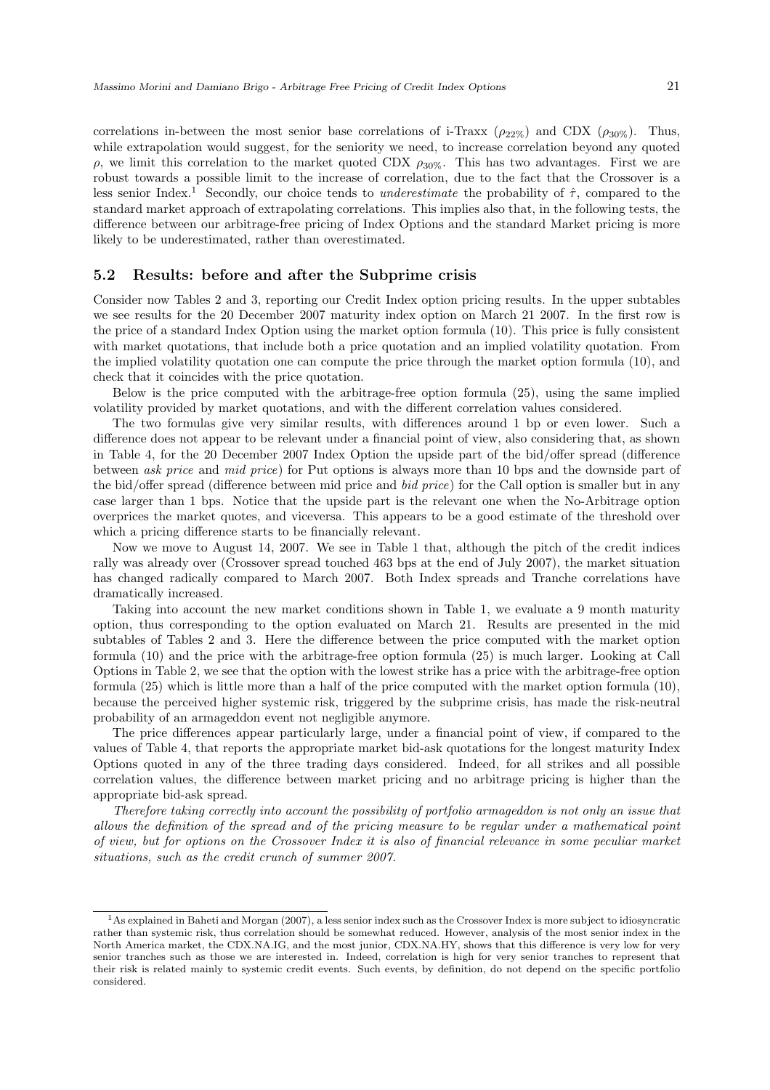correlations in-between the most senior base correlations of i-Traxx  $(\rho_{22\%})$  and CDX  $(\rho_{30\%})$ . Thus, while extrapolation would suggest, for the seniority we need, to increase correlation beyond any quoted  $ρ$ , we limit this correlation to the market quoted CDX  $ρ_{30\%}$ . This has two advantages. First we are robust towards a possible limit to the increase of correlation, due to the fact that the Crossover is a less senior Index.<sup>1</sup> Secondly, our choice tends to *underestimate* the probability of  $\hat{\tau}$ , compared to the standard market approach of extrapolating correlations. This implies also that, in the following tests, the difference between our arbitrage-free pricing of Index Options and the standard Market pricing is more likely to be underestimated, rather than overestimated.

#### 5.2 Results: before and after the Subprime crisis

Consider now Tables 2 and 3, reporting our Credit Index option pricing results. In the upper subtables we see results for the 20 December 2007 maturity index option on March 21 2007. In the first row is the price of a standard Index Option using the market option formula (10). This price is fully consistent with market quotations, that include both a price quotation and an implied volatility quotation. From the implied volatility quotation one can compute the price through the market option formula (10), and check that it coincides with the price quotation.

Below is the price computed with the arbitrage-free option formula (25), using the same implied volatility provided by market quotations, and with the different correlation values considered.

The two formulas give very similar results, with differences around 1 bp or even lower. Such a difference does not appear to be relevant under a financial point of view, also considering that, as shown in Table 4, for the 20 December 2007 Index Option the upside part of the bid/offer spread (difference between ask price and mid price) for Put options is always more than 10 bps and the downside part of the bid/offer spread (difference between mid price and bid price) for the Call option is smaller but in any case larger than 1 bps. Notice that the upside part is the relevant one when the No-Arbitrage option overprices the market quotes, and viceversa. This appears to be a good estimate of the threshold over which a pricing difference starts to be financially relevant.

Now we move to August 14, 2007. We see in Table 1 that, although the pitch of the credit indices rally was already over (Crossover spread touched 463 bps at the end of July 2007), the market situation has changed radically compared to March 2007. Both Index spreads and Tranche correlations have dramatically increased.

Taking into account the new market conditions shown in Table 1, we evaluate a 9 month maturity option, thus corresponding to the option evaluated on March 21. Results are presented in the mid subtables of Tables 2 and 3. Here the difference between the price computed with the market option formula (10) and the price with the arbitrage-free option formula (25) is much larger. Looking at Call Options in Table 2, we see that the option with the lowest strike has a price with the arbitrage-free option formula (25) which is little more than a half of the price computed with the market option formula (10), because the perceived higher systemic risk, triggered by the subprime crisis, has made the risk-neutral probability of an armageddon event not negligible anymore.

The price differences appear particularly large, under a financial point of view, if compared to the values of Table 4, that reports the appropriate market bid-ask quotations for the longest maturity Index Options quoted in any of the three trading days considered. Indeed, for all strikes and all possible correlation values, the difference between market pricing and no arbitrage pricing is higher than the appropriate bid-ask spread.

Therefore taking correctly into account the possibility of portfolio armageddon is not only an issue that allows the definition of the spread and of the pricing measure to be regular under a mathematical point of view, but for options on the Crossover Index it is also of financial relevance in some peculiar market situations, such as the credit crunch of summer 2007.

<sup>1</sup>As explained in Baheti and Morgan (2007), a less senior index such as the Crossover Index is more subject to idiosyncratic rather than systemic risk, thus correlation should be somewhat reduced. However, analysis of the most senior index in the North America market, the CDX.NA.IG, and the most junior, CDX.NA.HY, shows that this difference is very low for very senior tranches such as those we are interested in. Indeed, correlation is high for very senior tranches to represent that their risk is related mainly to systemic credit events. Such events, by definition, do not depend on the specific portfolio considered.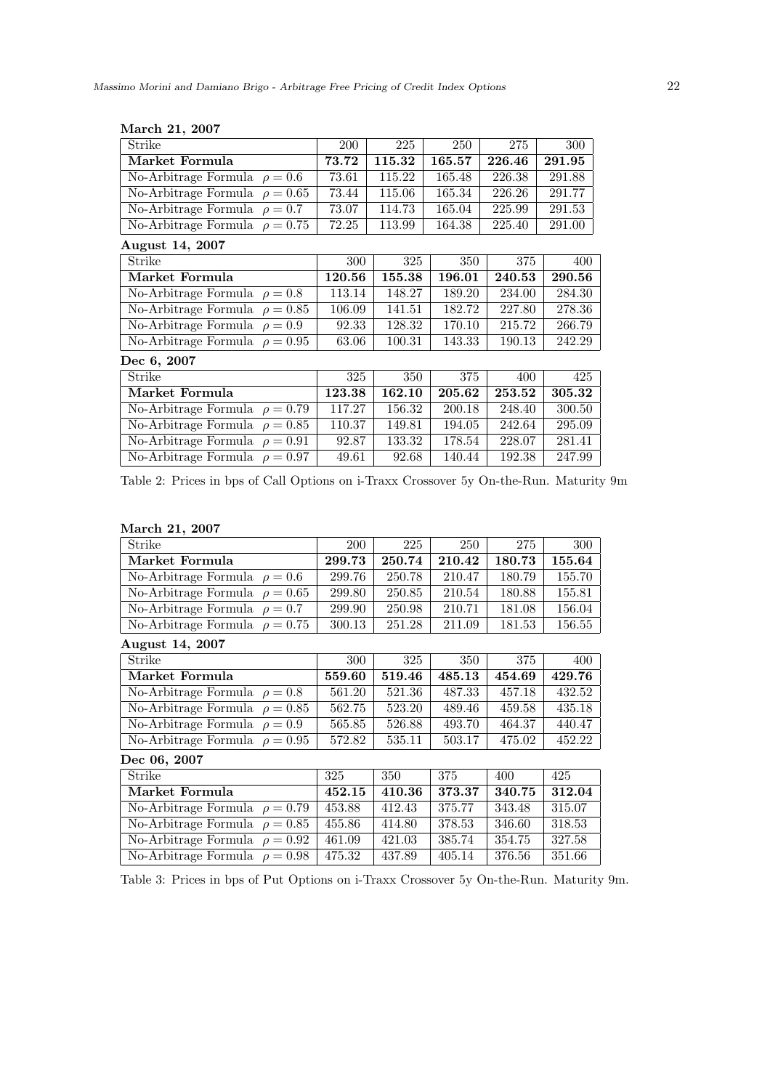| March 21, 2007                     |        |        |        |        |        |
|------------------------------------|--------|--------|--------|--------|--------|
| Strike                             | 200    | 225    | 250    | 275    | 300    |
| Market Formula                     | 73.72  | 115.32 | 165.57 | 226.46 | 291.95 |
| No-Arbitrage Formula $\rho = 0.6$  | 73.61  | 115.22 | 165.48 | 226.38 | 291.88 |
| No-Arbitrage Formula $\rho = 0.65$ | 73.44  | 115.06 | 165.34 | 226.26 | 291.77 |
| No-Arbitrage Formula $\rho = 0.7$  | 73.07  | 114.73 | 165.04 | 225.99 | 291.53 |
| No-Arbitrage Formula $\rho = 0.75$ | 72.25  | 113.99 | 164.38 | 225.40 | 291.00 |
| August 14, 2007                    |        |        |        |        |        |
| Strike                             | 300    | 325    | 350    | 375    | 400    |
| Market Formula                     | 120.56 | 155.38 | 196.01 | 240.53 | 290.56 |
| No-Arbitrage Formula $\rho = 0.8$  | 113.14 | 148.27 | 189.20 | 234.00 | 284.30 |
| No-Arbitrage Formula $\rho = 0.85$ | 106.09 | 141.51 | 182.72 | 227.80 | 278.36 |
| No-Arbitrage Formula $\rho = 0.9$  | 92.33  | 128.32 | 170.10 | 215.72 | 266.79 |
| No-Arbitrage Formula $\rho = 0.95$ | 63.06  | 100.31 | 143.33 | 190.13 | 242.29 |
| Dec 6, 2007                        |        |        |        |        |        |
| Strike                             | 325    | 350    | 375    | 400    | 425    |
| Market Formula                     | 123.38 | 162.10 | 205.62 | 253.52 | 305.32 |
| No-Arbitrage Formula $\rho = 0.79$ | 117.27 | 156.32 | 200.18 | 248.40 | 300.50 |
| No-Arbitrage Formula $\rho = 0.85$ | 110.37 | 149.81 | 194.05 | 242.64 | 295.09 |
| No-Arbitrage Formula $\rho = 0.91$ | 92.87  | 133.32 | 178.54 | 228.07 | 281.41 |
| No-Arbitrage Formula $\rho = 0.97$ | 49.61  | 92.68  | 140.44 | 192.38 | 247.99 |

#### March 21, 2007

Table 2: Prices in bps of Call Options on i-Traxx Crossover 5y On-the-Run. Maturity 9m

#### March 21, 2007

| Strike                             | 200    | 225    | 250    | 275    | 300    |
|------------------------------------|--------|--------|--------|--------|--------|
| Market Formula                     | 299.73 | 250.74 | 210.42 | 180.73 | 155.64 |
| No-Arbitrage Formula $\rho = 0.6$  | 299.76 | 250.78 | 210.47 | 180.79 | 155.70 |
| No-Arbitrage Formula $\rho = 0.65$ | 299.80 | 250.85 | 210.54 | 180.88 | 155.81 |
| No-Arbitrage Formula $\rho = 0.7$  | 299.90 | 250.98 | 210.71 | 181.08 | 156.04 |
| No-Arbitrage Formula $\rho = 0.75$ | 300.13 | 251.28 | 211.09 | 181.53 | 156.55 |

#### August 14, 2007

| <b>Strike</b>                      | 300    | 325    | 350    | 375    | 400    |
|------------------------------------|--------|--------|--------|--------|--------|
| Market Formula                     | 559.60 | 519.46 | 485.13 | 454.69 | 429.76 |
| No-Arbitrage Formula $\rho = 0.8$  | 561.20 | 521.36 | 487.33 | 457.18 | 432.52 |
| No-Arbitrage Formula $\rho = 0.85$ | 562.75 | 523.20 | 489.46 | 459.58 | 435.18 |
| No-Arbitrage Formula $\rho = 0.9$  | 565.85 | 526.88 | 493.70 | 464.37 | 440.47 |
| No-Arbitrage Formula $\rho = 0.95$ | 572.82 | 535.11 | 503.17 | 475.02 | 452.22 |

### Dec 06, 2007

| Strike                             | 325    | 350    | 375    | 400    | 425    |
|------------------------------------|--------|--------|--------|--------|--------|
| Market Formula                     | 452.15 | 410.36 | 373.37 | 340.75 | 312.04 |
| No-Arbitrage Formula $\rho = 0.79$ | 453.88 | 412.43 | 375.77 | 343.48 | 315.07 |
| No-Arbitrage Formula $\rho = 0.85$ | 455.86 | 414.80 | 378.53 | 346.60 | 318.53 |
| No-Arbitrage Formula $\rho = 0.92$ | 461.09 | 421.03 | 385.74 | 354.75 | 327.58 |
| No-Arbitrage Formula $\rho = 0.98$ | 475.32 | 437.89 | 405.14 | 376.56 | 351.66 |

Table 3: Prices in bps of Put Options on i-Traxx Crossover 5y On-the-Run. Maturity 9m.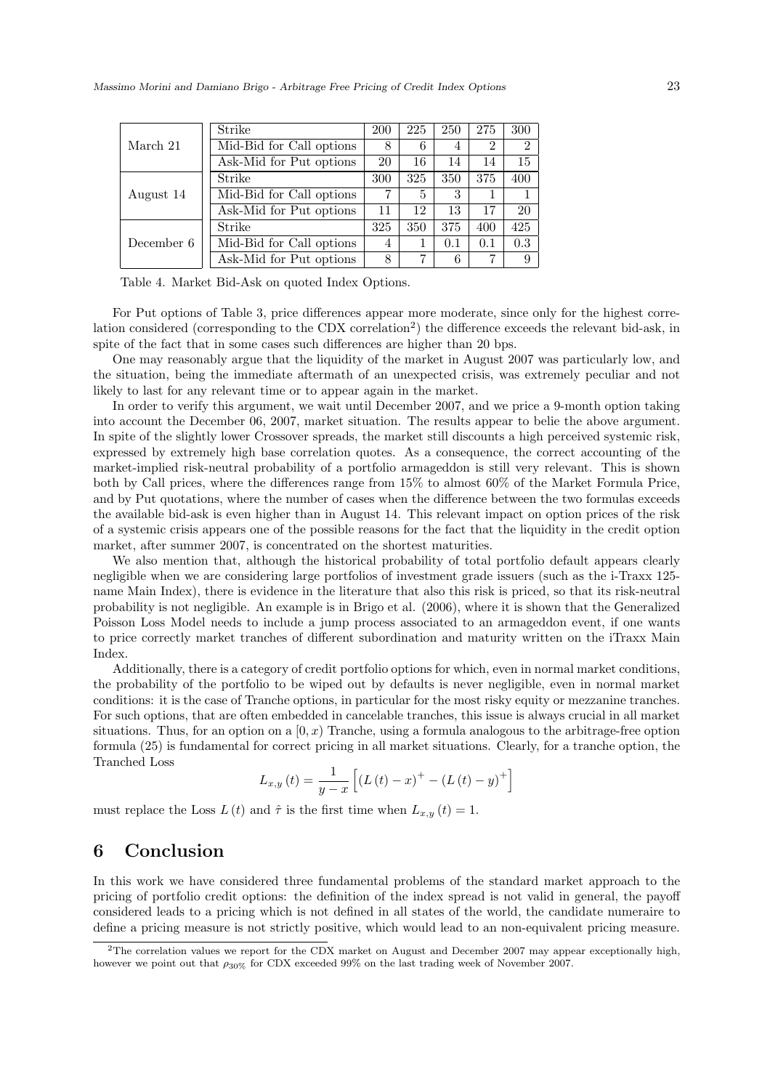|            | Strike                   | <b>200</b> | 225 | 250 | 275            | 300            |
|------------|--------------------------|------------|-----|-----|----------------|----------------|
| March 21   | Mid-Bid for Call options | 8          | 6   | 4   | $\overline{2}$ | $\mathfrak{D}$ |
|            | Ask-Mid for Put options  | 20         | 16  | 14  | 14             | 15             |
|            | Strike                   | 300        | 325 | 350 | 375            | 400            |
| August 14  | Mid-Bid for Call options | 7          | 5   | 3   |                |                |
|            | Ask-Mid for Put options  | 11         | 12  | 13  | 17             | 20             |
|            | Strike                   | 325        | 350 | 375 | 400            | 425            |
| December 6 | Mid-Bid for Call options | 4          |     | 0.1 | 0.1            | 0.3            |
|            | Ask-Mid for Put options  | 8          | 7   | 6   |                | 9              |

Table 4. Market Bid-Ask on quoted Index Options.

For Put options of Table 3, price differences appear more moderate, since only for the highest correlation considered (corresponding to the CDX correlation<sup>2</sup>) the difference exceeds the relevant bid-ask, in spite of the fact that in some cases such differences are higher than 20 bps.

One may reasonably argue that the liquidity of the market in August 2007 was particularly low, and the situation, being the immediate aftermath of an unexpected crisis, was extremely peculiar and not likely to last for any relevant time or to appear again in the market.

In order to verify this argument, we wait until December 2007, and we price a 9-month option taking into account the December 06, 2007, market situation. The results appear to belie the above argument. In spite of the slightly lower Crossover spreads, the market still discounts a high perceived systemic risk, expressed by extremely high base correlation quotes. As a consequence, the correct accounting of the market-implied risk-neutral probability of a portfolio armageddon is still very relevant. This is shown both by Call prices, where the differences range from 15% to almost 60% of the Market Formula Price, and by Put quotations, where the number of cases when the difference between the two formulas exceeds the available bid-ask is even higher than in August 14. This relevant impact on option prices of the risk of a systemic crisis appears one of the possible reasons for the fact that the liquidity in the credit option market, after summer 2007, is concentrated on the shortest maturities.

We also mention that, although the historical probability of total portfolio default appears clearly negligible when we are considering large portfolios of investment grade issuers (such as the i-Traxx 125 name Main Index), there is evidence in the literature that also this risk is priced, so that its risk-neutral probability is not negligible. An example is in Brigo et al. (2006), where it is shown that the Generalized Poisson Loss Model needs to include a jump process associated to an armageddon event, if one wants to price correctly market tranches of different subordination and maturity written on the iTraxx Main Index.

Additionally, there is a category of credit portfolio options for which, even in normal market conditions, the probability of the portfolio to be wiped out by defaults is never negligible, even in normal market conditions: it is the case of Tranche options, in particular for the most risky equity or mezzanine tranches. For such options, that are often embedded in cancelable tranches, this issue is always crucial in all market situations. Thus, for an option on a  $[0, x)$  Tranche, using a formula analogous to the arbitrage-free option formula (25) is fundamental for correct pricing in all market situations. Clearly, for a tranche option, the Tranched Loss h i

$$
L_{x,y}(t) = \frac{1}{y-x} \left[ (L(t) - x)^{+} - (L(t) - y)^{+} \right]
$$

must replace the Loss  $L(t)$  and  $\hat{\tau}$  is the first time when  $L_{x,y}(t) = 1$ .

## 6 Conclusion

In this work we have considered three fundamental problems of the standard market approach to the pricing of portfolio credit options: the definition of the index spread is not valid in general, the payoff considered leads to a pricing which is not defined in all states of the world, the candidate numeraire to define a pricing measure is not strictly positive, which would lead to an non-equivalent pricing measure.

<sup>2</sup>The correlation values we report for the CDX market on August and December 2007 may appear exceptionally high, however we point out that  $\rho_{30\%}$  for CDX exceeded 99% on the last trading week of November 2007.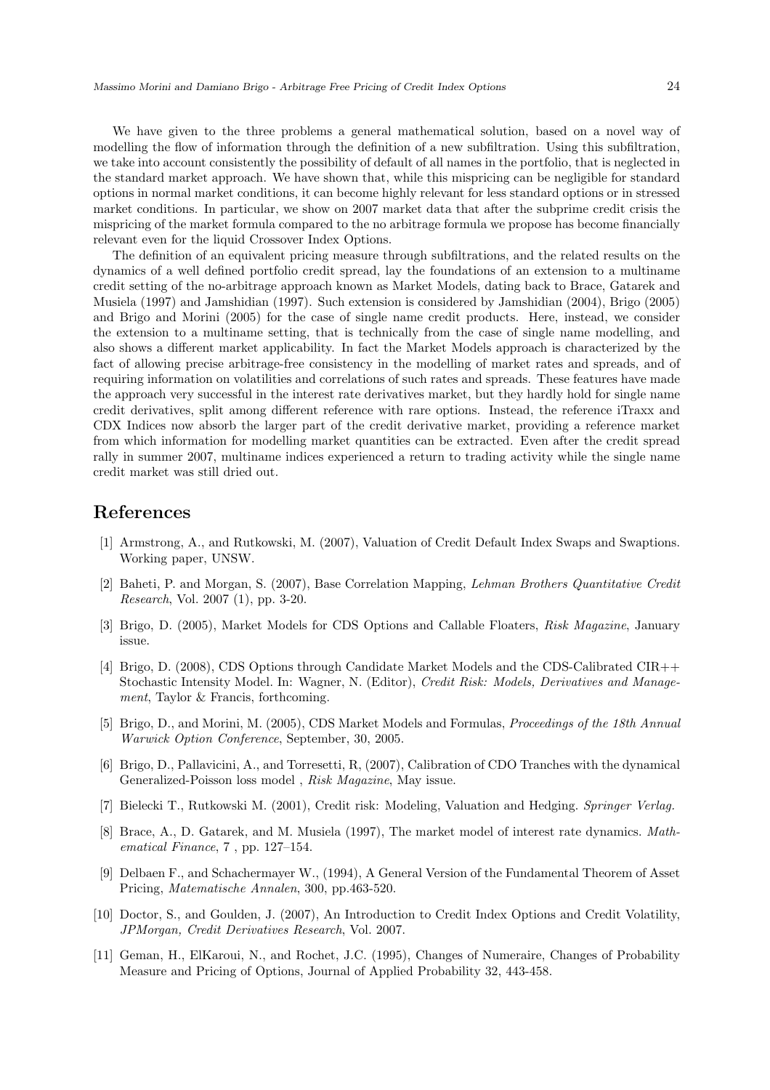We have given to the three problems a general mathematical solution, based on a novel way of modelling the flow of information through the definition of a new subfiltration. Using this subfiltration, we take into account consistently the possibility of default of all names in the portfolio, that is neglected in the standard market approach. We have shown that, while this mispricing can be negligible for standard options in normal market conditions, it can become highly relevant for less standard options or in stressed market conditions. In particular, we show on 2007 market data that after the subprime credit crisis the mispricing of the market formula compared to the no arbitrage formula we propose has become financially relevant even for the liquid Crossover Index Options.

The definition of an equivalent pricing measure through subfiltrations, and the related results on the dynamics of a well defined portfolio credit spread, lay the foundations of an extension to a multiname credit setting of the no-arbitrage approach known as Market Models, dating back to Brace, Gatarek and Musiela (1997) and Jamshidian (1997). Such extension is considered by Jamshidian (2004), Brigo (2005) and Brigo and Morini (2005) for the case of single name credit products. Here, instead, we consider the extension to a multiname setting, that is technically from the case of single name modelling, and also shows a different market applicability. In fact the Market Models approach is characterized by the fact of allowing precise arbitrage-free consistency in the modelling of market rates and spreads, and of requiring information on volatilities and correlations of such rates and spreads. These features have made the approach very successful in the interest rate derivatives market, but they hardly hold for single name credit derivatives, split among different reference with rare options. Instead, the reference iTraxx and CDX Indices now absorb the larger part of the credit derivative market, providing a reference market from which information for modelling market quantities can be extracted. Even after the credit spread rally in summer 2007, multiname indices experienced a return to trading activity while the single name credit market was still dried out.

## References

- [1] Armstrong, A., and Rutkowski, M. (2007), Valuation of Credit Default Index Swaps and Swaptions. Working paper, UNSW.
- [2] Baheti, P. and Morgan, S. (2007), Base Correlation Mapping, Lehman Brothers Quantitative Credit Research, Vol. 2007 (1), pp. 3-20.
- [3] Brigo, D. (2005), Market Models for CDS Options and Callable Floaters, Risk Magazine, January issue.
- [4] Brigo, D. (2008), CDS Options through Candidate Market Models and the CDS-Calibrated CIR++ Stochastic Intensity Model. In: Wagner, N. (Editor), Credit Risk: Models, Derivatives and Management, Taylor & Francis, forthcoming.
- [5] Brigo, D., and Morini, M. (2005), CDS Market Models and Formulas, Proceedings of the 18th Annual Warwick Option Conference, September, 30, 2005.
- [6] Brigo, D., Pallavicini, A., and Torresetti, R, (2007), Calibration of CDO Tranches with the dynamical Generalized-Poisson loss model , Risk Magazine, May issue.
- [7] Bielecki T., Rutkowski M. (2001), Credit risk: Modeling, Valuation and Hedging. Springer Verlag.
- [8] Brace, A., D. Gatarek, and M. Musiela (1997), The market model of interest rate dynamics. Mathematical Finance, 7 , pp. 127–154.
- [9] Delbaen F., and Schachermayer W., (1994), A General Version of the Fundamental Theorem of Asset Pricing, Matematische Annalen, 300, pp.463-520.
- [10] Doctor, S., and Goulden, J. (2007), An Introduction to Credit Index Options and Credit Volatility, JPMorgan, Credit Derivatives Research, Vol. 2007.
- [11] Geman, H., ElKaroui, N., and Rochet, J.C. (1995), Changes of Numeraire, Changes of Probability Measure and Pricing of Options, Journal of Applied Probability 32, 443-458.